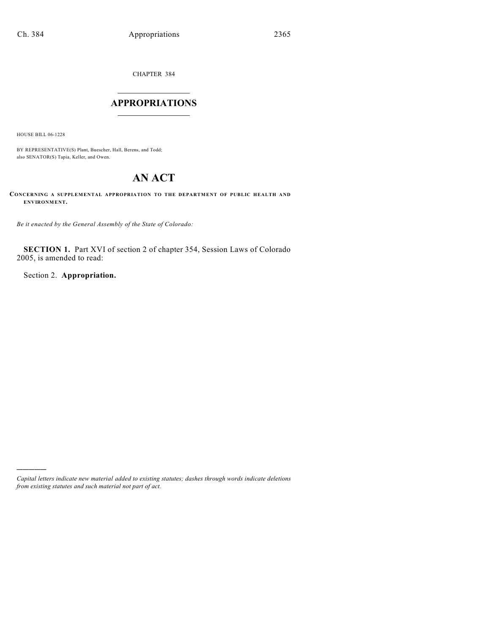CHAPTER 384

## $\mathcal{L}_\text{max}$  . The set of the set of the set of the set of the set of the set of the set of the set of the set of the set of the set of the set of the set of the set of the set of the set of the set of the set of the set **APPROPRIATIONS**  $\_$   $\_$   $\_$   $\_$   $\_$   $\_$   $\_$   $\_$

HOUSE BILL 06-1228

)))))

BY REPRESENTATIVE(S) Plant, Buescher, Hall, Berens, and Todd; also SENATOR(S) Tapia, Keller, and Owen.

## **AN ACT**

**CONCERNING A SUPPLEMENTAL APPROPRIATION TO THE DEPARTMENT OF PUBLIC HEALTH AND ENVIRONMENT.**

*Be it enacted by the General Assembly of the State of Colorado:*

**SECTION 1.** Part XVI of section 2 of chapter 354, Session Laws of Colorado 2005, is amended to read:

Section 2. **Appropriation.**

*Capital letters indicate new material added to existing statutes; dashes through words indicate deletions from existing statutes and such material not part of act.*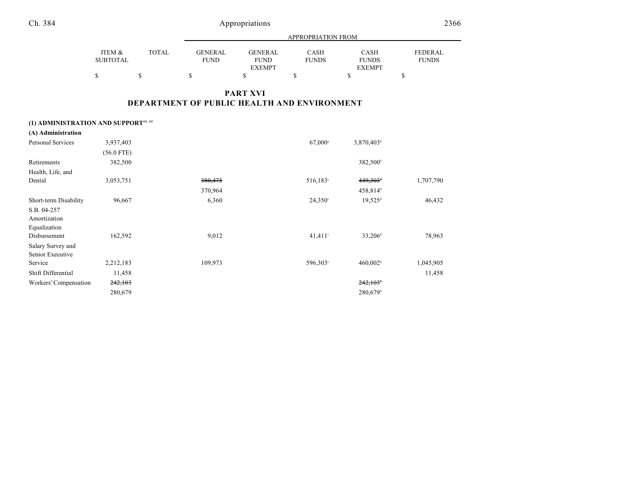Ch. 384 Appropriations 2366

|                 |              | APPROPRIATION FROM |                |              |               |                |
|-----------------|--------------|--------------------|----------------|--------------|---------------|----------------|
|                 |              |                    |                |              |               |                |
| ITEM &          | <b>TOTAL</b> | <b>GENERAL</b>     | <b>GENERAL</b> | <b>CASH</b>  | CASH          | <b>FEDERAL</b> |
| <b>SUBTOTAL</b> |              | <b>FUND</b>        | <b>FUND</b>    | <b>FUNDS</b> | <b>FUNDS</b>  | <b>FUNDS</b>   |
|                 |              |                    | <b>EXEMPT</b>  |              | <b>EXEMPT</b> |                |
|                 |              |                    |                |              |               |                |

## **PART XVI DEPARTMENT OF PUBLIC HEALTH AND ENVIRONMENT**

| (1) ADMINISTRATION AND SUPPORT##, ## |  |  |
|--------------------------------------|--|--|
|--------------------------------------|--|--|

| (A) Administration    |              |         |                       |                        |           |
|-----------------------|--------------|---------|-----------------------|------------------------|-----------|
| Personal Services     | 3,937,403    |         | $67,000^{\circ}$      | 3,870,403 <sup>b</sup> |           |
|                       | $(56.0$ FTE) |         |                       |                        |           |
| Retirements           | 382,500      |         |                       | 382,500 <sup>b</sup>   |           |
| Health, Life, and     |              |         |                       |                        |           |
| Dental                | 3,053,751    | 380,475 | 516,183°              | $449,303$ <sup>+</sup> | 1,707,790 |
|                       |              | 370,964 |                       | 458,814 <sup>d</sup>   |           |
| Short-term Disability | 96,667       | 6,360   | $24,350^{\circ}$      | $19,525$ <sup>d</sup>  | 46,432    |
| S.B. 04-257           |              |         |                       |                        |           |
| Amortization          |              |         |                       |                        |           |
| Equalization          |              |         |                       |                        |           |
| Disbursement          | 162,592      | 9,012   | $41.411$ <sup>c</sup> | 33,206 <sup>d</sup>    | 78,963    |
| Salary Survey and     |              |         |                       |                        |           |
| Senior Executive      |              |         |                       |                        |           |
| Service               | 2,212,183    | 109,973 | 596,303°              | $460,002$ <sup>d</sup> | 1,045,905 |
| Shift Differential    | 11,458       |         |                       |                        | 11,458    |
| Workers' Compensation | 242,103      |         |                       | 242,103                |           |
|                       | 280,679      |         |                       | 280,679 <sup>b</sup>   |           |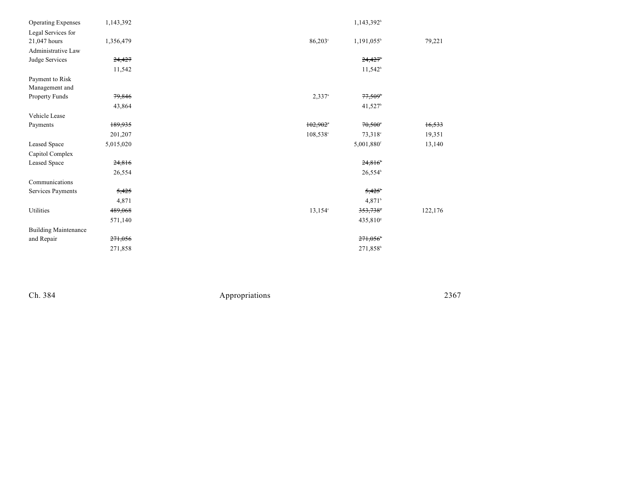| <b>Operating Expenses</b>   | 1,143,392 |                        | 1,143,392 <sup>b</sup> |         |
|-----------------------------|-----------|------------------------|------------------------|---------|
| Legal Services for          |           |                        |                        |         |
| 21,047 hours                | 1,356,479 | $86,203^\circ$         | $1,191,055^{\circ}$    | 79,221  |
| Administrative Law          |           |                        |                        |         |
| Judge Services              | 24,427    |                        | 24,427                 |         |
|                             | 11,542    |                        | $11,542^b$             |         |
| Payment to Risk             |           |                        |                        |         |
| Management and              |           |                        |                        |         |
| Property Funds              | 79,846    | $2,337$ <sup>a</sup>   | $77,509$ <sup>6</sup>  |         |
|                             | 43,864    |                        | 41,527 <sup>b</sup>    |         |
| Vehicle Lease               |           |                        |                        |         |
| Payments                    | 189,935   | $102,902$ <sup>*</sup> | $70,500^{\circ}$       | 16,533  |
|                             | 201,207   | 108,538 <sup>c</sup>   | $73,318^{\circ}$       | 19,351  |
| Leased Space                | 5,015,020 |                        | 5,001,880 <sup>f</sup> | 13,140  |
| Capitol Complex             |           |                        |                        |         |
| Leased Space                | 24,816    |                        | 24,816                 |         |
|                             | 26,554    |                        | 26,554 <sup>b</sup>    |         |
| Communications              |           |                        |                        |         |
| Services Payments           | 5,425     |                        | 5,425                  |         |
|                             | 4,871     |                        | 4,871 <sup>b</sup>     |         |
| Utilities                   | 489,068   | $13.154^{\circ}$       | 353,738*               | 122,176 |
|                             | 571,140   |                        | 435,810 <sup>s</sup>   |         |
| <b>Building Maintenance</b> |           |                        |                        |         |
| and Repair                  | 271,056   |                        | 271,056                |         |
|                             | 271,858   |                        | 271,858 <sup>b</sup>   |         |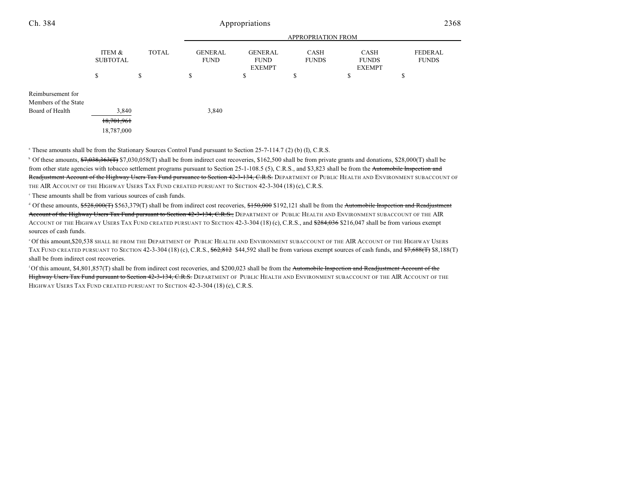| Ch. 384                                                      | Appropriations                    |              |                               |                                                |                             | 2368                                  |                                |
|--------------------------------------------------------------|-----------------------------------|--------------|-------------------------------|------------------------------------------------|-----------------------------|---------------------------------------|--------------------------------|
|                                                              | APPROPRIATION FROM                |              |                               |                                                |                             |                                       |                                |
|                                                              | ITEM &<br><b>SUBTOTAL</b>         | <b>TOTAL</b> | <b>GENERAL</b><br><b>FUND</b> | <b>GENERAL</b><br><b>FUND</b><br><b>EXEMPT</b> | <b>CASH</b><br><b>FUNDS</b> | CASH<br><b>FUNDS</b><br><b>EXEMPT</b> | <b>FEDERAL</b><br><b>FUNDS</b> |
|                                                              | \$                                | \$           | \$                            | \$                                             | \$                          | \$                                    | \$                             |
| Reimbursement for<br>Members of the State<br>Board of Health | 3,840<br>18,701,961<br>18,787,000 |              | 3,840                         |                                                |                             |                                       |                                |

<sup>a</sup> These amounts shall be from the Stationary Sources Control Fund pursuant to Section 25-7-114.7 (2) (b) (I), C.R.S.

<sup>b</sup> Of these amounts,  $\frac{1}{2}$ ,  $\frac{1}{2}$ ,  $\frac{1}{2}$ ,  $\frac{1}{2}$ ,  $\frac{1}{2}$ ,  $\frac{1}{2}$ ,  $\frac{1}{2}$ ,  $\frac{1}{2}$ ,  $\frac{1}{2}$ ,  $\frac{1}{2}$ ,  $\frac{1}{2}$ ,  $\frac{1}{2}$ ,  $\frac{1}{2}$ ,  $\frac{1}{2}$ ,  $\frac{1}{2}$ ,  $\frac{1}{2}$ ,  $\frac{1}{2}$ ,  $\frac{1}{2}$ , from other state agencies with tobacco settlement programs pursuant to Section 25-1-108.5 (5), C.R.S., and \$3,823 shall be from the Automobile Inspection and Readjustment Account of the Highway Users Tax Fund pursuance to Section 42-3-134, C.R.S. DEPARTMENT OF PUBLIC HEALTH AND ENVIRONMENT SUBACCOUNT OF THE AIR ACCOUNT OF THE HIGHWAY USERS TAX FUND CREATED PURSUANT TO SECTION 42-3-304 (18) (c), C.R.S.

 $\degree$  These amounts shall be from various sources of cash funds.

<sup>d</sup> Of these amounts, \$528,000(T) \$563,379(T) shall be from indirect cost recoveries, \$150,000 \$192,121 shall be from the Automobile Inspection and Readjustment Account of the Highway Users Tax Fund pursuant to Section 42-3-134, C.R.S., DEPARTMENT OF PUBLIC HEALTH AND ENVIRONMENT SUBACCOUNT OF THE AIR ACCOUNT OF THE HIGHWAY USERS TAX FUND CREATED PURSUANT TO SECTION 42-3-304 (18) (c), C.R.S., and \$284,036 \$216,047 shall be from various exempt sources of cash funds.

Of this amount,\$20,538 shall be from the Department of Public Health and Environment subaccount of the AIR Account of the Highway Users ' TAX FUND CREATED PURSUANT TO SECTION 42-3-304 (18) (c), C.R.S., \$62,812 \$44,592 shall be from various exempt sources of cash funds, and \$7,688(T) \$8,188(T) shall be from indirect cost recoveries.

<sup>f</sup> Of this amount, \$4,801,857(T) shall be from indirect cost recoveries, and \$200,023 shall be from the <del>Automobile Inspection and Readjustment Account of the</del> Highway Users Tax Fund pursuant to Section 42-3-134, C.R.S. DEPARTMENT OF PUBLIC HEALTH AND ENVIRONMENT SUBACCOUNT OF THE AIR ACCOUNT OF THE HIGHWAY USERS TAX FUND CREATED PURSUANT TO SECTION 42-3-304 (18) (c), C.R.S.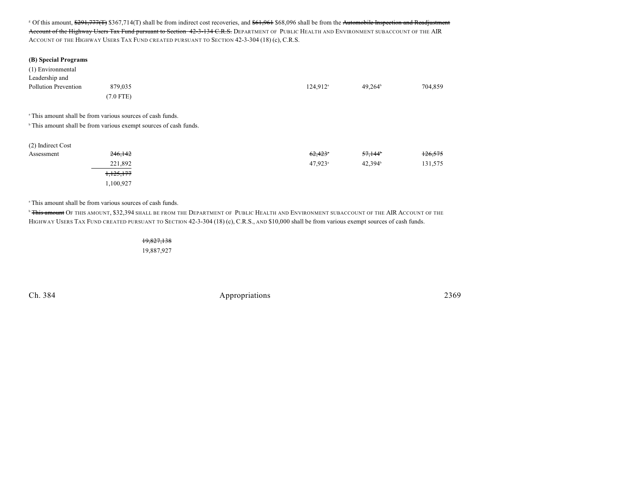<sup>8</sup> Of this amount, \$291,777(T) \$367,714(T) shall be from indirect cost recoveries, and \$61,961 \$68,096 shall be from the Automobile Inspection and Readjustment Account of the Highway Users Tax Fund pursuant to Section 42-3-134 C.R.S. DEPARTMENT OF PUBLIC HEALTH AND ENVIRONMENT SUBACCOUNT OF THE AIR ACCOUNT OF THE HIGHWAY USERS TAX FUND CREATED PURSUANT TO SECTION 42-3-304 (18) (c), C.R.S.

| (B) Special Programs<br>(1) Environmental<br>Leadership and<br>Pollution Prevention | 879,035<br>$(7.0$ FTE)                                                       | 124,912 <sup>a</sup>  | $49,264^{\circ}$    | 704,859 |
|-------------------------------------------------------------------------------------|------------------------------------------------------------------------------|-----------------------|---------------------|---------|
|                                                                                     | <sup>a</sup> This amount shall be from various sources of cash funds.        |                       |                     |         |
|                                                                                     | <sup>b</sup> This amount shall be from various exempt sources of cash funds. |                       |                     |         |
| (2) Indirect Cost                                                                   |                                                                              |                       |                     |         |
| Assessment                                                                          | 246,142                                                                      | $62,423$ <sup>*</sup> | 57,144 <sup>*</sup> | 126,575 |
|                                                                                     | 221,892                                                                      | $47,923$ <sup>a</sup> | 42,394 <sup>b</sup> | 131,575 |
|                                                                                     | 1,125,177                                                                    |                       |                     |         |
|                                                                                     | 1,100,927                                                                    |                       |                     |         |

<sup>a</sup> This amount shall be from various sources of cash funds.

<sup>b</sup> <del>This amount</del> Of this amount, \$32,394 shall be from the Department of Public Health and Environment subaccount of the AIR Account of the HIGHWAY USERS TAX FUND CREATED PURSUANT TO SECTION 42-3-304 (18) (c), C.R.S., AND \$10,000 shall be from various exempt sources of cash funds.

> 19,827,138 19,887,927

Ch. 384 2369 Appropriations 2369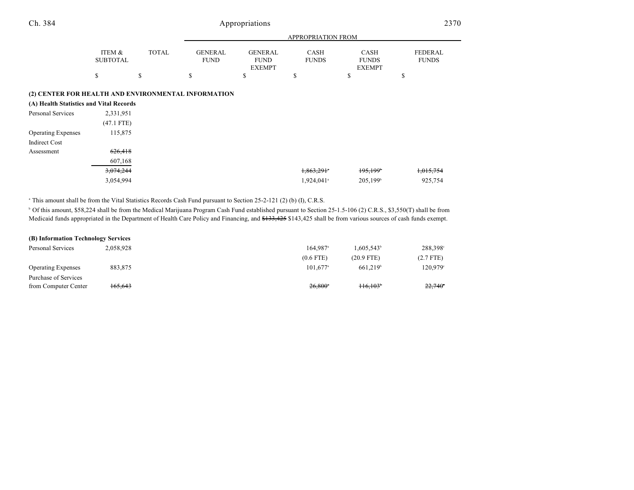| Ch. 384                                             |                           |              | Appropriations                |                                                |                      |                                       | 2370                           |  |
|-----------------------------------------------------|---------------------------|--------------|-------------------------------|------------------------------------------------|----------------------|---------------------------------------|--------------------------------|--|
|                                                     |                           |              |                               |                                                | APPROPRIATION FROM   |                                       |                                |  |
|                                                     | ITEM &<br><b>SUBTOTAL</b> | <b>TOTAL</b> | <b>GENERAL</b><br><b>FUND</b> | <b>GENERAL</b><br><b>FUND</b><br><b>EXEMPT</b> | CASH<br><b>FUNDS</b> | CASH<br><b>FUNDS</b><br><b>EXEMPT</b> | <b>FEDERAL</b><br><b>FUNDS</b> |  |
|                                                     | \$                        | \$           | \$                            | \$                                             | S                    | \$                                    | S                              |  |
| (2) CENTER FOR HEALTH AND ENVIRONMENTAL INFORMATION |                           |              |                               |                                                |                      |                                       |                                |  |
| (A) Health Statistics and Vital Records             |                           |              |                               |                                                |                      |                                       |                                |  |
| <b>Personal Services</b>                            | 2,331,951                 |              |                               |                                                |                      |                                       |                                |  |
|                                                     | $(47.1$ FTE)              |              |                               |                                                |                      |                                       |                                |  |
| <b>Operating Expenses</b>                           | 115,875                   |              |                               |                                                |                      |                                       |                                |  |
| <b>Indirect Cost</b>                                |                           |              |                               |                                                |                      |                                       |                                |  |
| Assessment                                          | 626,418                   |              |                               |                                                |                      |                                       |                                |  |
|                                                     | 607,168                   |              |                               |                                                |                      |                                       |                                |  |
|                                                     | 3,074,244                 |              |                               |                                                | 1,863,291            | 195,199 <sup>b</sup>                  | 1,015,754                      |  |

<sup>a</sup> This amount shall be from the Vital Statistics Records Cash Fund pursuant to Section 25-2-121 (2) (b) (I), C.R.S.

<sup>b</sup> Of this amount, \$58,224 shall be from the Medical Marijuana Program Cash Fund established pursuant to Section 25-1.5-106 (2) C.R.S., \$3,550(T) shall be from Medicaid funds appropriated in the Department of Health Care Policy and Financing, and \$133,425 \$143,425 shall be from various sources of cash funds exempt.

 $3,054,994$   $3,054,994$   $925,754$ 

| (B) Information Technology Services |           |                        |                        |                |
|-------------------------------------|-----------|------------------------|------------------------|----------------|
| Personal Services                   | 2.058.928 | $164.987$ <sup>a</sup> | 1.605.543 <sup>b</sup> | 288.398°       |
|                                     |           | $(0.6$ FTE)            | $(20.9$ FTE)           | $(2.7$ FTE)    |
| <b>Operating Expenses</b>           | 883.875   | $101.677^{\circ}$      | 661.219 <sup>b</sup>   | 120.979°       |
| Purchase of Services                |           |                        |                        |                |
| from Computer Center                | 165,643   | $26.800^{\circ}$       | $116.103^{\circ}$      | $22,740^\circ$ |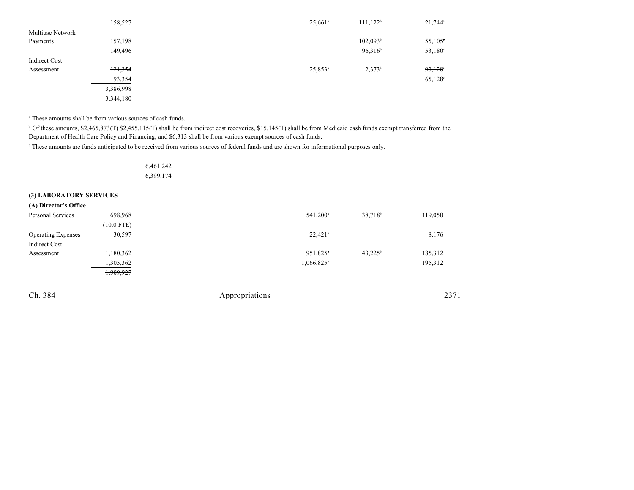|                         | 158,527   | $25,661$ <sup>a</sup> | $111,122^b$ | $21,744$ °       |
|-------------------------|-----------|-----------------------|-------------|------------------|
| <b>Multiuse Network</b> |           |                       |             |                  |
| Payments                | 157,198   |                       | 102,093     | 55,105           |
|                         | 149,496   |                       | 96,316      | $53,180^{\circ}$ |
| Indirect Cost           |           |                       |             |                  |
| Assessment              | 121,354   | $25,853$ <sup>a</sup> | $2,373^b$   | 93,128           |
|                         | 93,354    |                       |             | $65,128^{\circ}$ |
|                         | 3,386,998 |                       |             |                  |
|                         | 3,344,180 |                       |             |                  |

<sup>a</sup> These amounts shall be from various sources of cash funds.

<sup>b</sup> Of these amounts, \$2,465,873(T) \$2,455,115(T) shall be from indirect cost recoveries, \$15,145(T) shall be from Medicaid cash funds exempt transferred from the Department of Health Care Policy and Financing, and \$6,313 shall be from various exempt sources of cash funds.

These amounts are funds anticipated to be received from various sources of federal funds and are shown for informational purposes only. <sup>c</sup>

| <del>6,461,242</del> |  |
|----------------------|--|
| 6,399,174            |  |

#### **(3) LABORATORY SERVICES**

| (A) Director's Office     |              |                          |                     |         |
|---------------------------|--------------|--------------------------|---------------------|---------|
| Personal Services         | 698,968      | 541,200 <sup>a</sup>     | 38,718 <sup>b</sup> | 119,050 |
|                           | $(10.0$ FTE) |                          |                     |         |
| <b>Operating Expenses</b> | 30,597       | $22,421$ <sup>a</sup>    |                     | 8,176   |
| Indirect Cost             |              |                          |                     |         |
| Assessment                | 1,180,362    | 951,825 <sup>*</sup>     | $43,225^{\circ}$    | 185,312 |
|                           | 1,305,362    | $1,066,825$ <sup>a</sup> |                     | 195,312 |
|                           | 1,909,927    |                          |                     |         |
|                           |              |                          |                     |         |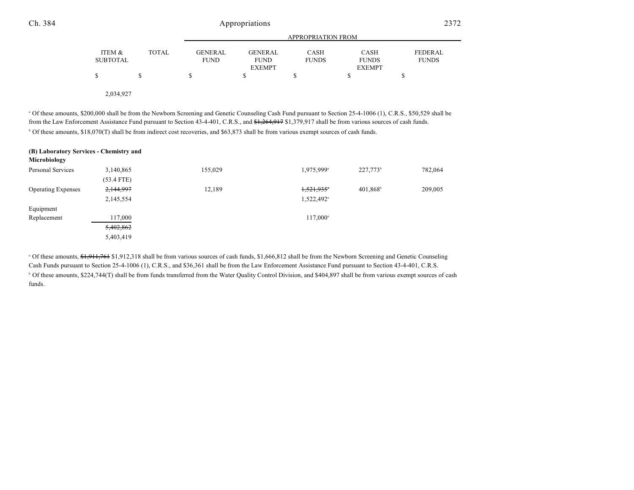2,034,927

<sup>a</sup> Of these amounts, \$200,000 shall be from the Newborn Screening and Genetic Counseling Cash Fund pursuant to Section 25-4-1006 (1), C.R.S., \$50,529 shall be from the Law Enforcement Assistance Fund pursuant to Section 43-4-401, C.R.S., and  $\frac{41,264,917}{1,379,917}$  shall be from various sources of cash funds. Of these amounts, \$18,070(T) shall be from indirect cost recoveries, and \$63,873 shall be from various exempt sources of cash funds. <sup>b</sup>

| (B) Laboratory Services - Chemistry and<br>Microbiology |              |         |                        |                      |         |
|---------------------------------------------------------|--------------|---------|------------------------|----------------------|---------|
| Personal Services                                       | 3,140,865    | 155,029 | 1,975,999 <sup>a</sup> | 227,773 <sup>b</sup> | 782,064 |
|                                                         | $(53.4$ FTE) |         |                        |                      |         |
| <b>Operating Expenses</b>                               | 2,144,997    | 12,189  | 1,521,935              | 401,868              | 209,005 |
|                                                         | 2,145,554    |         | 1,522,492 <sup>a</sup> |                      |         |
| Equipment                                               |              |         |                        |                      |         |
| Replacement                                             | 117,000      |         | 117,000 <sup>a</sup>   |                      |         |
|                                                         | 5,402,862    |         |                        |                      |         |
|                                                         | 5,403,419    |         |                        |                      |         |

<sup>a</sup> Of these amounts, \$1,911,761 \$1,912,318 shall be from various sources of cash funds, \$1,666,812 shall be from the Newborn Screening and Genetic Counseling Cash Funds pursuant to Section 25-4-1006 (1), C.R.S., and \$36,361 shall be from the Law Enforcement Assistance Fund pursuant to Section 43-4-401, C.R.S.  $\degree$  Of these amounts, \$224,744(T) shall be from funds transferred from the Water Quality Control Division, and \$404,897 shall be from various exempt sources of cash funds.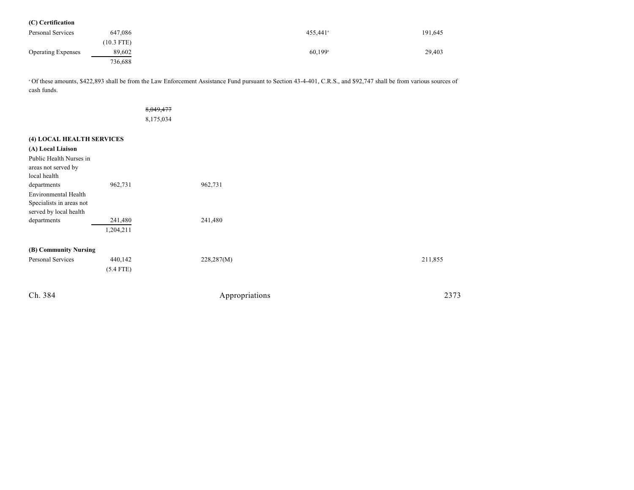| (C) Certification         |              |                       |         |
|---------------------------|--------------|-----------------------|---------|
| Personal Services         | 647,086      | 455.441 <sup>ª</sup>  | 191,645 |
|                           | $(10.3$ FTE) |                       |         |
| <b>Operating Expenses</b> | 89,602       | $60,199$ <sup>a</sup> | 29,403  |
|                           | 736,688      |                       |         |

<sup>a</sup> Of these amounts, \$422,893 shall be from the Law Enforcement Assistance Fund pursuant to Section 43-4-401, C.R.S., and \$92,747 shall be from various sources of cash funds.

|                                                |             | 8,049,477<br>8,175,034 |                |         |
|------------------------------------------------|-------------|------------------------|----------------|---------|
| (4) LOCAL HEALTH SERVICES                      |             |                        |                |         |
| (A) Local Liaison                              |             |                        |                |         |
| Public Health Nurses in<br>areas not served by |             |                        |                |         |
| local health                                   |             |                        |                |         |
| departments                                    | 962,731     |                        | 962,731        |         |
| Environmental Health                           |             |                        |                |         |
| Specialists in areas not                       |             |                        |                |         |
| served by local health                         |             |                        |                |         |
| departments                                    | 241,480     |                        | 241,480        |         |
|                                                | 1,204,211   |                        |                |         |
| (B) Community Nursing                          |             |                        |                |         |
| Personal Services                              | 440,142     |                        | 228,287(M)     | 211,855 |
|                                                | $(5.4$ FTE) |                        |                |         |
| Ch. 384                                        |             |                        | Appropriations | 2373    |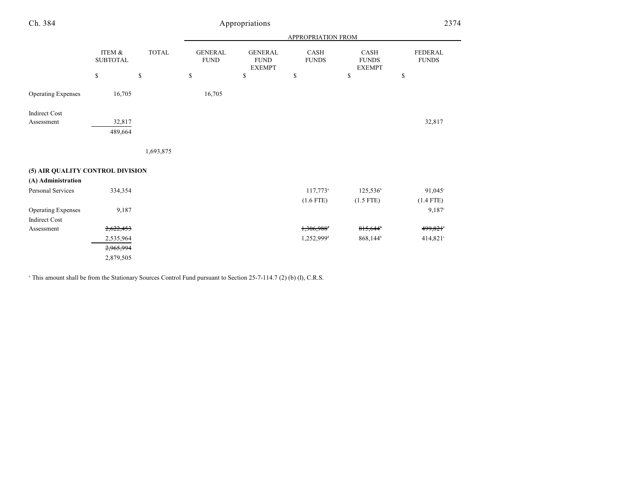| Ch. 384                          | Appropriations            |              |                               |                                                |                        | 2374                                  |                                |
|----------------------------------|---------------------------|--------------|-------------------------------|------------------------------------------------|------------------------|---------------------------------------|--------------------------------|
|                                  |                           |              | APPROPRIATION FROM            |                                                |                        |                                       |                                |
|                                  | ITEM &<br><b>SUBTOTAL</b> | <b>TOTAL</b> | <b>GENERAL</b><br><b>FUND</b> | <b>GENERAL</b><br><b>FUND</b><br><b>EXEMPT</b> | CASH<br><b>FUNDS</b>   | CASH<br><b>FUNDS</b><br><b>EXEMPT</b> | <b>FEDERAL</b><br><b>FUNDS</b> |
|                                  | \$                        | \$           | \$                            | \$                                             | \$                     | \$                                    | \$                             |
| <b>Operating Expenses</b>        | 16,705                    |              | 16,705                        |                                                |                        |                                       |                                |
| <b>Indirect Cost</b>             |                           |              |                               |                                                |                        |                                       |                                |
| Assessment                       | 32,817<br>489,664         |              |                               |                                                |                        |                                       | 32,817                         |
|                                  |                           | 1,693,875    |                               |                                                |                        |                                       |                                |
| (5) AIR QUALITY CONTROL DIVISION |                           |              |                               |                                                |                        |                                       |                                |
| (A) Administration               |                           |              |                               |                                                |                        |                                       |                                |
| Personal Services                | 334,354                   |              |                               |                                                | 117,773 <sup>a</sup>   | 125,536 <sup>b</sup>                  | $91,045^{\circ}$               |
|                                  |                           |              |                               |                                                | $(1.6$ FTE)            | $(1.5$ FTE)                           | $(1.4$ FTE)                    |
| <b>Operating Expenses</b>        | 9,187                     |              |                               |                                                |                        |                                       | 9,187°                         |
| <b>Indirect Cost</b>             |                           |              |                               |                                                |                        |                                       |                                |
| Assessment                       | 2,622,453                 |              |                               |                                                | 1,306,988 <sup>+</sup> | 815,644                               | 499,821°                       |
|                                  | 2,535,964                 |              |                               |                                                | 1,252,999 <sup>d</sup> | 868,144 <sup>b</sup>                  | 414,821°                       |
|                                  | 2,965,994                 |              |                               |                                                |                        |                                       |                                |
|                                  | 2,879,505                 |              |                               |                                                |                        |                                       |                                |

<sup>a</sup> This amount shall be from the Stationary Sources Control Fund pursuant to Section 25-7-114.7 (2) (b) (I), C.R.S.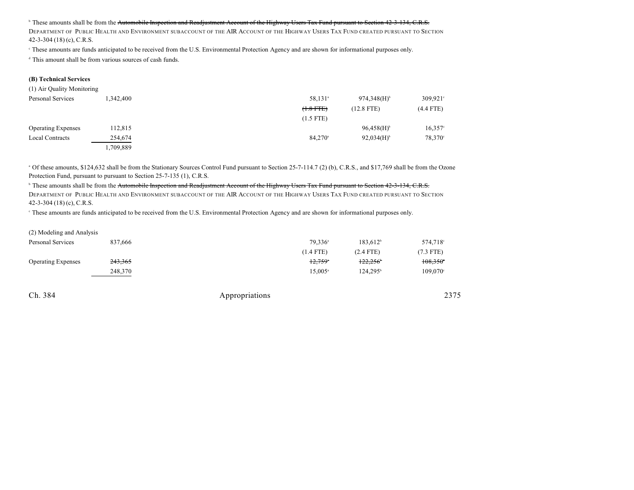#### <sup>b</sup> These amounts shall be from the <del>Automobile Inspection and Readjustment Account of the Highway Users Tax Fund pursuant to Section 42-3-134, C.R.S.</del>

DEPARTMENT OF PUBLIC HEALTH AND ENVIRONMENT SUBACCOUNT OF THE AIR ACCOUNT OF THE HIGHWAY USERS TAX FUND CREATED PURSUANT TO SECTION 42-3-304 (18) (c), C.R.S.

These amounts are funds anticipated to be received from the U.S. Environmental Protection Agency and are shown for informational purposes only. <sup>c</sup>

 $\alpha$ <sup>d</sup> This amount shall be from various sources of cash funds.

#### **(B) Technical Services**

| (1) Air Quality Monitoring |           |                       |                           |                     |
|----------------------------|-----------|-----------------------|---------------------------|---------------------|
| Personal Services          | .342,400  | 58,131 <sup>a</sup>   | $974,348(H)$ <sup>b</sup> | $309,921$ °         |
|                            |           | $(1.8 FFE)$           | $(12.8$ FTE)              | $(4.4$ FTE)         |
|                            |           | $(1.5$ FTE)           |                           |                     |
| <b>Operating Expenses</b>  | 112,815   |                       | $96,458(H)$ <sup>b</sup>  | $16,357$ °          |
| <b>Local Contracts</b>     | 254,674   | $84,270$ <sup>a</sup> | $92,034(H)$ <sup>b</sup>  | 78,370 <sup>c</sup> |
|                            | 1,709,889 |                       |                           |                     |

<sup>a</sup> Of these amounts, \$124,632 shall be from the Stationary Sources Control Fund pursuant to Section 25-7-114.7 (2) (b), C.R.S., and \$17,769 shall be from the Ozone Protection Fund, pursuant to pursuant to Section 25-7-135 (1), C.R.S.

<sup>b</sup> These amounts shall be from the <del>Automobile Inspection and Readjustment Account of the Highway Users Tax Fund pursuant to Section 42-3-134, C.R.S.</del> DEPARTMENT OF PUBLIC HEALTH AND ENVIRONMENT SUBACCOUNT OF THE AIR ACCOUNT OF THE HIGHWAY USERS TAX FUND CREATED PURSUANT TO SECTION 42-3-304 (18) (c), C.R.S.

<sup>e</sup> These amounts are funds anticipated to be received from the U.S. Environmental Protection Agency and are shown for informational purposes only.

| (2) Modeling and Analysis |                    |                  |                      |                      |
|---------------------------|--------------------|------------------|----------------------|----------------------|
| Personal Services         | 837.666            | $79.336^{\circ}$ | $183.612^b$          | 574.718 <sup>c</sup> |
|                           |                    | $(1.4$ FTE)      | $(2.4$ FTE)          | $(7.3$ FTE)          |
| <b>Operating Expenses</b> | <del>243,365</del> | $12.759^{\circ}$ | $122.256^{\circ}$    | $108,350^{\circ}$    |
|                           | 248,370            | $15.005^{\circ}$ | 124.295 <sup>b</sup> | $109,070^{\circ}$    |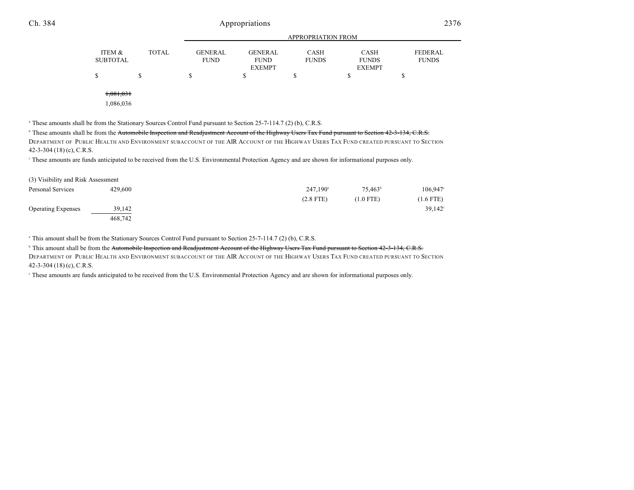## Ch. 384 Appropriations 2376

|                    |              | APPROPRIATION FROM            |                               |                             |                             |                                |  |
|--------------------|--------------|-------------------------------|-------------------------------|-----------------------------|-----------------------------|--------------------------------|--|
| ITEM &<br>SUBTOTAL | <b>TOTAL</b> | <b>GENERAL</b><br><b>FUND</b> | <b>GENERAL</b><br><b>FUND</b> | <b>CASH</b><br><b>FUNDS</b> | <b>CASH</b><br><b>FUNDS</b> | <b>FEDERAL</b><br><b>FUNDS</b> |  |
|                    |              |                               | <b>EXEMPT</b>                 |                             | <b>EXEMPT</b>               |                                |  |
| \$                 |              | S                             |                               | \$                          |                             |                                |  |
|                    |              |                               |                               |                             |                             |                                |  |
| 1.081.031          |              |                               |                               |                             |                             |                                |  |

1,086,036

<sup>a</sup> These amounts shall be from the Stationary Sources Control Fund pursuant to Section 25-7-114.7 (2) (b), C.R.S.

<sup>b</sup> These amounts shall be from the Automobile Inspection and Readjustment Account of the Highway Users Tax Fund pursuant to Section 42-3-134, C.R.S.

DEPARTMENT OF PUBLIC HEALTH AND ENVIRONMENT SUBACCOUNT OF THE AIR ACCOUNT OF THE HIGHWAY USERS TAX FUND CREATED PURSUANT TO SECTION 42-3-304 (18) (c), C.R.S.

<sup>e</sup> These amounts are funds anticipated to be received from the U.S. Environmental Protection Agency and are shown for informational purposes only.

| (3) Visibility and Risk Assessment |         |                   |                  |                     |
|------------------------------------|---------|-------------------|------------------|---------------------|
| Personal Services                  | 429,600 | $247.190^{\circ}$ | $75.463^{\circ}$ | 106.947             |
|                                    |         | $(2.8$ FTE)       | $(1.0$ FTE)      | $(1.6$ FTE)         |
| <b>Operating Expenses</b>          | 39.142  |                   |                  | 39.142 <sup>°</sup> |
|                                    | 468,742 |                   |                  |                     |

<sup>a</sup> This amount shall be from the Stationary Sources Control Fund pursuant to Section 25-7-114.7 (2) (b), C.R.S.

<sup>b</sup> This amount shall be from the Automobile Inspection and Readjustment Account of the Highway Users Tax Fund pursuant to Section 42-3-134, C.R.S.

DEPARTMENT OF PUBLIC HEALTH AND ENVIRONMENT SUBACCOUNT OF THE AIR ACCOUNT OF THE HIGHWAY USERS TAX FUND CREATED PURSUANT TO SECTION 42-3-304 (18) (c), C.R.S.

These amounts are funds anticipated to be received from the U.S. Environmental Protection Agency and are shown for informational purposes only. <sup>c</sup>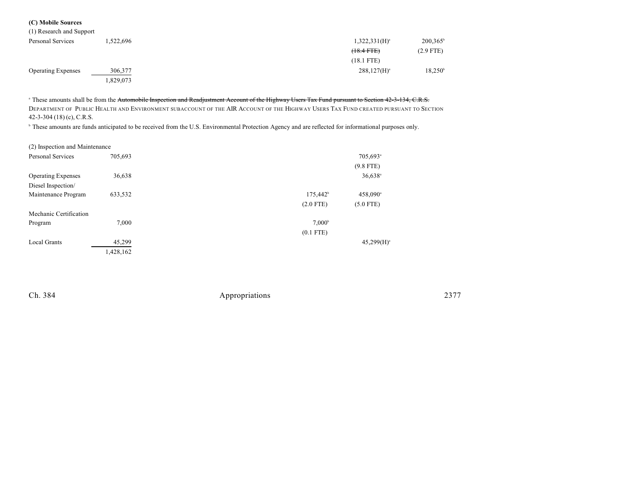#### **(C) Mobile Sources** (1) Research and Support

| (1) Research and Support  |           |                    |                   |
|---------------------------|-----------|--------------------|-------------------|
| Personal Services         | .522.696  | $1,322,331(H)^{a}$ | $200,365^{\circ}$ |
|                           |           | $(18.4$ FTE $)$    | $(2.9$ FTE)       |
|                           |           | $(18.1$ FTE)       |                   |
| <b>Operating Expenses</b> | 306,377   | $288,127(H)^{a}$   | $18,250^{\circ}$  |
|                           | 1,829,073 |                    |                   |

<sup>a</sup> These amounts shall be from the Automobile Inspection and Readjustment Account of the Highway Users Tax Fund pursuant to Section 42-3-134, C.R.S. DEPARTMENT OF PUBLIC HEALTH AND ENVIRONMENT SUBACCOUNT OF THE AIR ACCOUNT OF THE HIGHWAY USERS TAX FUND CREATED PURSUANT TO SECTION 42-3-304 (18) (c), C.R.S.

<sup>b</sup> These amounts are funds anticipated to be received from the U.S. Environmental Protection Agency and are reflected for informational purposes only.

| (2) Inspection and Maintenance |           |                   |                       |
|--------------------------------|-----------|-------------------|-----------------------|
| <b>Personal Services</b>       | 705,693   |                   | 705,693 <sup>a</sup>  |
|                                |           |                   | $(9.8$ FTE)           |
| <b>Operating Expenses</b>      | 36,638    |                   | $36,638$ <sup>a</sup> |
| Diesel Inspection/             |           |                   |                       |
| Maintenance Program            | 633,532   | $175,442^{\circ}$ | 458,090 <sup>a</sup>  |
|                                |           | $(2.0$ FTE)       | $(5.0$ FTE)           |
| Mechanic Certification         |           |                   |                       |
| Program                        | 7,000     | $7,000^{\rm b}$   |                       |
|                                |           | $(0.1$ FTE)       |                       |
| <b>Local Grants</b>            | 45,299    |                   | $45,299(H)^a$         |
|                                | 1,428,162 |                   |                       |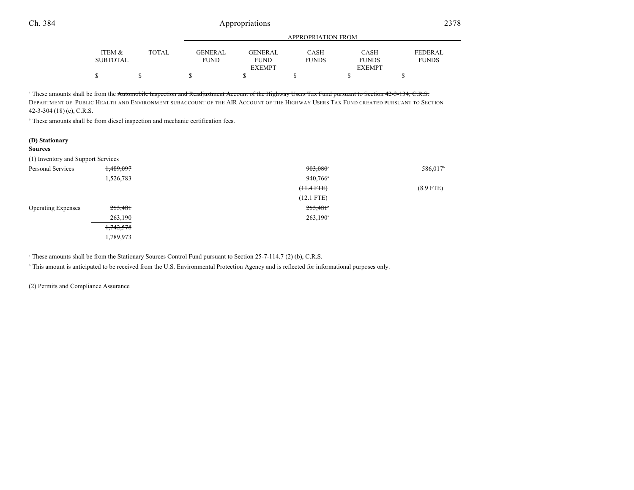| Ch. 384                                                                                                                                                                                                                                                                                                                                                                                                                                                          |                           | Appropriations |                               |                                                |                             | 2378                                         |                                |
|------------------------------------------------------------------------------------------------------------------------------------------------------------------------------------------------------------------------------------------------------------------------------------------------------------------------------------------------------------------------------------------------------------------------------------------------------------------|---------------------------|----------------|-------------------------------|------------------------------------------------|-----------------------------|----------------------------------------------|--------------------------------|
|                                                                                                                                                                                                                                                                                                                                                                                                                                                                  |                           |                | APPROPRIATION FROM            |                                                |                             |                                              |                                |
|                                                                                                                                                                                                                                                                                                                                                                                                                                                                  | ITEM &<br><b>SUBTOTAL</b> | <b>TOTAL</b>   | <b>GENERAL</b><br><b>FUND</b> | <b>GENERAL</b><br><b>FUND</b><br><b>EXEMPT</b> | <b>CASH</b><br><b>FUNDS</b> | <b>CASH</b><br><b>FUNDS</b><br><b>EXEMPT</b> | <b>FEDERAL</b><br><b>FUNDS</b> |
|                                                                                                                                                                                                                                                                                                                                                                                                                                                                  | \$                        | \$             | \$                            | S                                              | \$                          | S                                            | \$                             |
| <sup>a</sup> These amounts shall be from the <del>Automobile Inspection and Readjustment Account of the Highway Users Tax Fund pursuant to Section 42-3-134, C.R.S.</del><br>DEPARTMENT OF PUBLIC HEALTH AND ENVIRONMENT SUBACCOUNT OF THE AIR ACCOUNT OF THE HIGHWAY USERS TAX FUND CREATED PURSUANT TO SECTION<br>42-3-304 $(18)$ (c), C.R.S.<br><sup>b</sup> These amounts shall be from diesel inspection and mechanic certification fees.<br>(D) Stationary |                           |                |                               |                                                |                             |                                              |                                |
| <b>Sources</b>                                                                                                                                                                                                                                                                                                                                                                                                                                                   |                           |                |                               |                                                |                             |                                              |                                |
| (1) Inventory and Support Services                                                                                                                                                                                                                                                                                                                                                                                                                               |                           |                |                               |                                                |                             |                                              |                                |
| <b>Personal Services</b>                                                                                                                                                                                                                                                                                                                                                                                                                                         | <del>1,489,097</del>      |                |                               |                                                | 903,080                     |                                              | 586,017 <sup>b</sup>           |
|                                                                                                                                                                                                                                                                                                                                                                                                                                                                  | 1,526,783                 |                |                               |                                                | 940,766 <sup>a</sup>        |                                              |                                |
|                                                                                                                                                                                                                                                                                                                                                                                                                                                                  |                           |                |                               |                                                | <del>(11.4 FTE)</del>       |                                              | $(8.9$ FTE)                    |
|                                                                                                                                                                                                                                                                                                                                                                                                                                                                  |                           |                |                               |                                                | $(12.1$ FTE)                |                                              |                                |
| <b>Operating Expenses</b>                                                                                                                                                                                                                                                                                                                                                                                                                                        | 253,481                   |                |                               |                                                | 253,481 <sup>*</sup>        |                                              |                                |
|                                                                                                                                                                                                                                                                                                                                                                                                                                                                  | 263,190                   |                |                               |                                                | $263,190^{\circ}$           |                                              |                                |
|                                                                                                                                                                                                                                                                                                                                                                                                                                                                  | 1,742,578                 |                |                               |                                                |                             |                                              |                                |

<sup>a</sup> These amounts shall be from the Stationary Sources Control Fund pursuant to Section 25-7-114.7 (2) (b), C.R.S.

<sup>b</sup> This amount is anticipated to be received from the U.S. Environmental Protection Agency and is reflected for informational purposes only.

(2) Permits and Compliance Assurance

1,789,973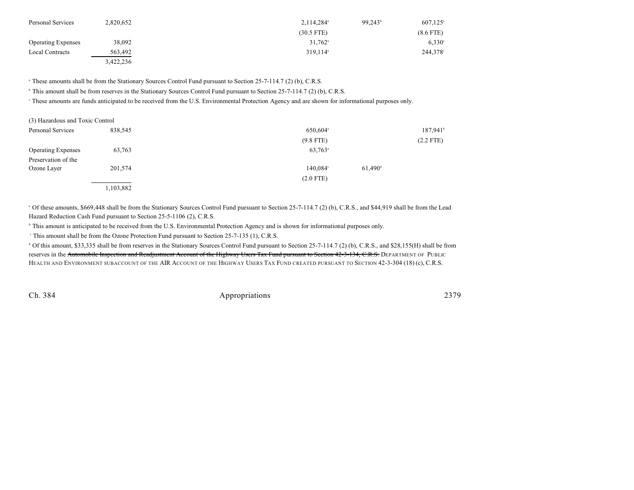| Personal Services         | 2,820,652 | $2,114,284$ <sup>a</sup> | $99.243^{\circ}$ | $607,125^{\circ}$ |
|---------------------------|-----------|--------------------------|------------------|-------------------|
|                           |           | $(30.5$ FTE)             |                  | $(8.6$ FTE)       |
| <b>Operating Expenses</b> | 38,092    | $31,762$ <sup>a</sup>    |                  | $6,330^{\circ}$   |
| <b>Local Contracts</b>    | 563,492   | $319.114$ <sup>a</sup>   |                  | $244,378$ °       |
|                           | 3,422,236 |                          |                  |                   |

<sup>a</sup> These amounts shall be from the Stationary Sources Control Fund pursuant to Section 25-7-114.7 (2) (b), C.R.S.

<sup>b</sup> This amount shall be from reserves in the Stationary Sources Control Fund pursuant to Section 25-7-114.7 (2) (b), C.R.S.

<sup>e</sup> These amounts are funds anticipated to be received from the U.S. Environmental Protection Agency and are shown for informational purposes only.

| (3) Hazardous and Toxic Control |           |                      |                       |                        |
|---------------------------------|-----------|----------------------|-----------------------|------------------------|
| Personal Services               | 838,545   | 650,604 <sup>a</sup> |                       | $187,941$ <sup>t</sup> |
|                                 |           | $(9.8$ FTE)          |                       | $(2.2$ FTE)            |
| <b>Operating Expenses</b>       | 63,763    | 63,763 <sup>a</sup>  |                       |                        |
| Preservation of the             |           |                      |                       |                        |
| Ozone Layer                     | 201,574   | 140,084°             | $61,490$ <sup>d</sup> |                        |
|                                 |           | $(2.0$ FTE)          |                       |                        |
|                                 | 1,103,882 |                      |                       |                        |

<sup>a</sup> Of these amounts, \$669,448 shall be from the Stationary Sources Control Fund pursuant to Section 25-7-114.7 (2) (b), C.R.S., and \$44,919 shall be from the Lead Hazard Reduction Cash Fund pursuant to Section 25-5-1106 (2), C.R.S.

<sup>b</sup> This amount is anticipated to be received from the U.S. Environmental Protection Agency and is shown for informational purposes only.

<sup>c</sup> This amount shall be from the Ozone Protection Fund pursuant to Section 25-7-135 (1), C.R.S.

 $\alpha$  Of this amount, \$33,335 shall be from reserves in the Stationary Sources Control Fund pursuant to Section 25-7-114.7 (2) (b), C.R.S., and \$28,155(H) shall be from reserves in the Automobile Inspection and Readjustment Account of the Highway Users Tax Fund pursuant to Section 42-3-134, C.R.S. DEPARTMENT OF PUBLIC HEALTH AND ENVIRONMENT SUBACCOUNT OF THE AIR ACCOUNT OF THE HIGHWAY USERS TAX FUND CREATED PURSUANT TO SECTION 42-3-304 (18) (c), C.R.S.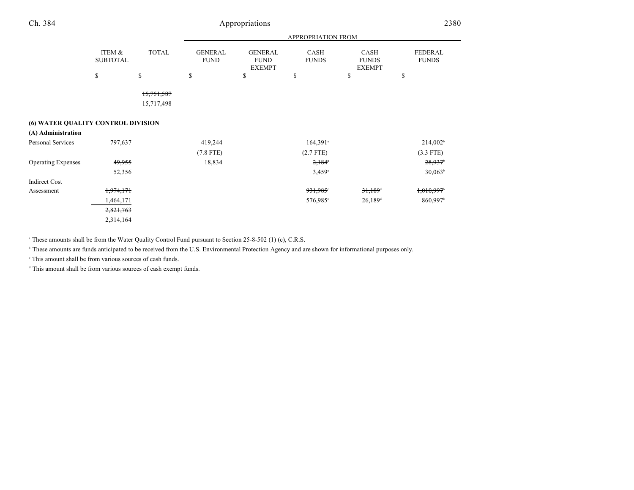| Ch. 384                            |                           | Appropriations           |                               |                                                |                             |                                       | 2380                    |
|------------------------------------|---------------------------|--------------------------|-------------------------------|------------------------------------------------|-----------------------------|---------------------------------------|-------------------------|
|                                    |                           |                          |                               |                                                | APPROPRIATION FROM          |                                       |                         |
|                                    | ITEM &<br><b>SUBTOTAL</b> | <b>TOTAL</b>             | <b>GENERAL</b><br><b>FUND</b> | <b>GENERAL</b><br><b>FUND</b><br><b>EXEMPT</b> | <b>CASH</b><br><b>FUNDS</b> | CASH<br><b>FUNDS</b><br><b>EXEMPT</b> | FEDERAL<br><b>FUNDS</b> |
|                                    | \$                        | \$                       | \$                            | \$                                             | \$                          | \$                                    | \$                      |
|                                    |                           | 15,751,587<br>15,717,498 |                               |                                                |                             |                                       |                         |
| (6) WATER QUALITY CONTROL DIVISION |                           |                          |                               |                                                |                             |                                       |                         |
| (A) Administration                 |                           |                          |                               |                                                |                             |                                       |                         |
| <b>Personal Services</b>           | 797,637                   |                          | 419,244                       |                                                | $164,391$ <sup>a</sup>      |                                       | 214,002 <sup>b</sup>    |
|                                    |                           |                          | $(7.8$ FTE)                   |                                                | $(2.7$ FTE)                 |                                       | $(3.3$ FTE)             |
| <b>Operating Expenses</b>          | 49,955                    |                          | 18,834                        |                                                | $2,184$ <sup>*</sup>        |                                       | $28,937$ <sup>t</sup>   |
|                                    | 52,356                    |                          |                               |                                                | $3,459$ <sup>a</sup>        |                                       | $30,063^b$              |
| <b>Indirect Cost</b>               |                           |                          |                               |                                                |                             |                                       |                         |
| Assessment                         | 1,974,171                 |                          |                               |                                                | 931,985°                    | $31,189$ <sup>d</sup>                 | 1,010,997               |
|                                    | 1,464,171                 |                          |                               |                                                | 576,985°                    | $26,189$ <sup>d</sup>                 | 860,997 <sup>b</sup>    |
|                                    | 2,821,763                 |                          |                               |                                                |                             |                                       |                         |
|                                    | 2,314,164                 |                          |                               |                                                |                             |                                       |                         |

<sup>a</sup> These amounts shall be from the Water Quality Control Fund pursuant to Section 25-8-502 (1) (c), C.R.S.

<sup>b</sup> These amounts are funds anticipated to be received from the U.S. Environmental Protection Agency and are shown for informational purposes only.

 $\degree$  This amount shall be from various sources of cash funds.

 $d$  This amount shall be from various sources of cash exempt funds.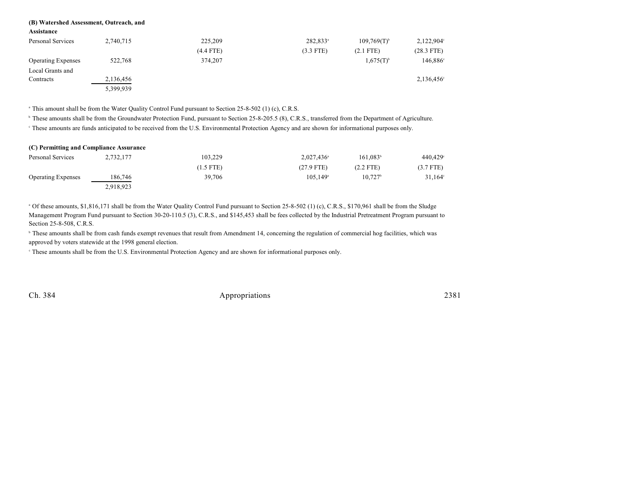#### **(B) Watershed Assessment, Outreach, and**

**Assistance**

| Personal Services         | 2,740,715 | 225,209     | 282,833 <sup>a</sup> | $109,769(T)^{6}$        | $2,122,904^{\circ}$ |
|---------------------------|-----------|-------------|----------------------|-------------------------|---------------------|
|                           |           | $(4.4$ FTE) | $(3.3$ FTE)          | $(2.1$ FTE)             | $(28.3$ FTE)        |
| <b>Operating Expenses</b> | 522,768   | 374,207     |                      | $1,675(T)$ <sup>b</sup> | 146,886°            |
| Local Grants and          |           |             |                      |                         |                     |
| Contracts                 | 2,136,456 |             |                      |                         | $2,136,456^{\circ}$ |
|                           | 5,399,939 |             |                      |                         |                     |

<sup>a</sup> This amount shall be from the Water Quality Control Fund pursuant to Section 25-8-502 (1) (c), C.R.S.

<sup>b</sup> These amounts shall be from the Groundwater Protection Fund, pursuant to Section 25-8-205.5 (8), C.R.S., transferred from the Department of Agriculture.

<sup>e</sup> These amounts are funds anticipated to be received from the U.S. Environmental Protection Agency and are shown for informational purposes only.

| (C) Permitting and Compliance Assurance |           |             |                        |                      |             |
|-----------------------------------------|-----------|-------------|------------------------|----------------------|-------------|
| Personal Services                       | 2,732,177 | 103,229     | $2.027.436^{\circ}$    | 161.083 <sup>b</sup> | 440,429     |
|                                         |           | $(1.5$ FTE) | $(27.9$ FTE)           | $(2.2$ FTE)          | $(3.7$ FTE) |
| <b>Operating Expenses</b>               | 186,746   | 39,706      | $105.149$ <sup>a</sup> | $10.727^{\circ}$     | 31,164      |
|                                         | 2,918,923 |             |                        |                      |             |

<sup>a</sup> Of these amounts, \$1,816,171 shall be from the Water Quality Control Fund pursuant to Section 25-8-502 (1) (c), C.R.S., \$170,961 shall be from the Sludge Management Program Fund pursuant to Section 30-20-110.5 (3), C.R.S., and \$145,453 shall be fees collected by the Industrial Pretreatment Program pursuant to Section 25-8-508, C.R.S.

<sup>b</sup> These amounts shall be from cash funds exempt revenues that result from Amendment 14, concerning the regulation of commercial hog facilities, which was approved by voters statewide at the 1998 general election.

These amounts shall be from the U.S. Environmental Protection Agency and are shown for informational purposes only. <sup>c</sup>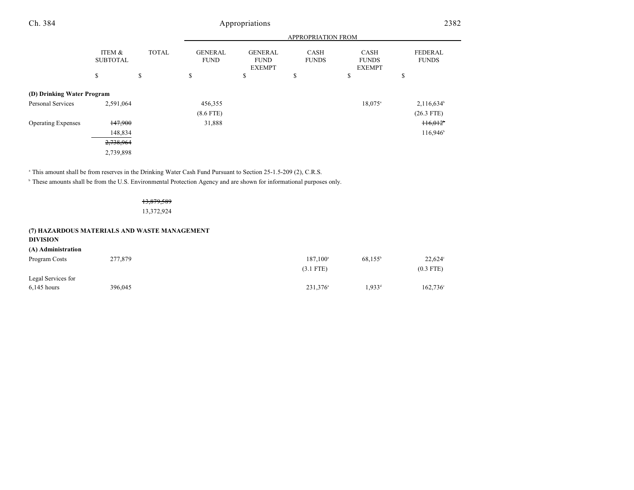| Ch. 384                    |                           |              | Appropriations                |                                                |                             | 2382                                         |                                |  |
|----------------------------|---------------------------|--------------|-------------------------------|------------------------------------------------|-----------------------------|----------------------------------------------|--------------------------------|--|
|                            |                           |              |                               |                                                | APPROPRIATION FROM          |                                              |                                |  |
|                            | ITEM &<br><b>SUBTOTAL</b> | <b>TOTAL</b> | <b>GENERAL</b><br><b>FUND</b> | <b>GENERAL</b><br><b>FUND</b><br><b>EXEMPT</b> | <b>CASH</b><br><b>FUNDS</b> | <b>CASH</b><br><b>FUNDS</b><br><b>EXEMPT</b> | <b>FEDERAL</b><br><b>FUNDS</b> |  |
|                            | \$                        | \$           | \$                            | \$                                             | \$                          | \$                                           | \$                             |  |
| (D) Drinking Water Program |                           |              |                               |                                                |                             |                                              |                                |  |
| Personal Services          | 2,591,064                 |              | 456,355                       |                                                |                             | 18,075 <sup>a</sup>                          | $2,116,634^{\circ}$            |  |
|                            |                           |              | $(8.6$ FTE)                   |                                                |                             |                                              | $(26.3$ FTE)                   |  |
| <b>Operating Expenses</b>  | 147,900                   |              | 31,888                        |                                                |                             |                                              | 116,012                        |  |
|                            | 148,834                   |              |                               |                                                |                             |                                              | $116,946^{\circ}$              |  |
|                            | 2,738,964                 |              |                               |                                                |                             |                                              |                                |  |
|                            |                           |              |                               |                                                |                             |                                              |                                |  |

2,739,898

<sup>a</sup> This amount shall be from reserves in the Drinking Water Cash Fund Pursuant to Section 25-1.5-209 (2), C.R.S.

<sup>b</sup> These amounts shall be from the U.S. Environmental Protection Agency and are shown for informational purposes only.

13,879,589

13,372,924

#### **(7) HAZARDOUS MATERIALS AND WASTE MANAGEMENT**

#### **DIVISION**

#### **(A) Administration**

| Program Costs                       | 277,879 | $187.100^{\circ}$<br>$(3.1$ FTE) | $68,155^{\circ}$  | $22,624^{\circ}$<br>$(0.3$ FTE) |
|-------------------------------------|---------|----------------------------------|-------------------|---------------------------------|
| Legal Services for<br>$6,145$ hours | 396,045 | 231,376 <sup>a</sup>             | .933 <sup>d</sup> | $162,736^{\circ}$               |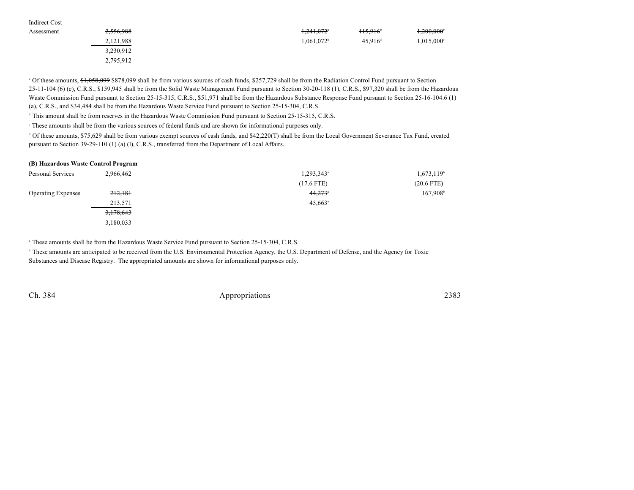| Indirect Cost |           |                          |                        |                          |
|---------------|-----------|--------------------------|------------------------|--------------------------|
| Assessment    | 2,556,988 | 1,241,072°               | $115,916$ <sup>*</sup> | $1,200,000$ <sup>*</sup> |
|               | 2,121,988 | $1,061,072$ <sup>a</sup> | 45.916 <sup>d</sup>    | $1,015,000^{\circ}$      |
|               | 3,230,912 |                          |                        |                          |
|               | 2,795,912 |                          |                        |                          |

<sup>a</sup> Of these amounts, \$1,058,099 \$878,099 shall be from various sources of cash funds, \$257,729 shall be from the Radiation Control Fund pursuant to Section 25-11-104 (6) (c), C.R.S., \$159,945 shall be from the Solid Waste Management Fund pursuant to Section 30-20-118 (1), C.R.S., \$97,320 shall be from the Hazardous Waste Commission Fund pursuant to Section 25-15-315, C.R.S., \$51,971 shall be from the Hazardous Substance Response Fund pursuant to Section 25-16-104.6 (1) (a), C.R.S., and \$34,484 shall be from the Hazardous Waste Service Fund pursuant to Section 25-15-304, C.R.S.

<sup>b</sup> This amount shall be from reserves in the Hazardous Waste Commission Fund pursuant to Section 25-15-315, C.R.S.

These amounts shall be from the various sources of federal funds and are shown for informational purposes only. <sup>c</sup>

 Of these amounts, \$75,629 shall be from various exempt sources of cash funds, and \$42,220(T) shall be from the Local Government Severance Tax Fund, created <sup>d</sup> pursuant to Section 39-29-110 (1) (a) (I), C.R.S., transferred from the Department of Local Affairs.

#### **(B) Hazardous Waste Control Program**

| Personal Services         | 2,966,462 | 1,293,343 <sup>a</sup> | 1,673,119 <sup>b</sup> |
|---------------------------|-----------|------------------------|------------------------|
|                           |           | $(17.6$ FTE)           | $(20.6$ FTE)           |
| <b>Operating Expenses</b> | 212,181   | 44,273                 | 167,908                |
|                           | 213,571   | $45,663$ <sup>a</sup>  |                        |
|                           | 3,178,643 |                        |                        |
|                           | 3,180,033 |                        |                        |

<sup>a</sup> These amounts shall be from the Hazardous Waste Service Fund pursuant to Section 25-15-304, C.R.S.

<sup>b</sup> These amounts are anticipated to be received from the U.S. Environmental Protection Agency, the U.S. Department of Defense, and the Agency for Toxic Substances and Disease Registry. The appropriated amounts are shown for informational purposes only.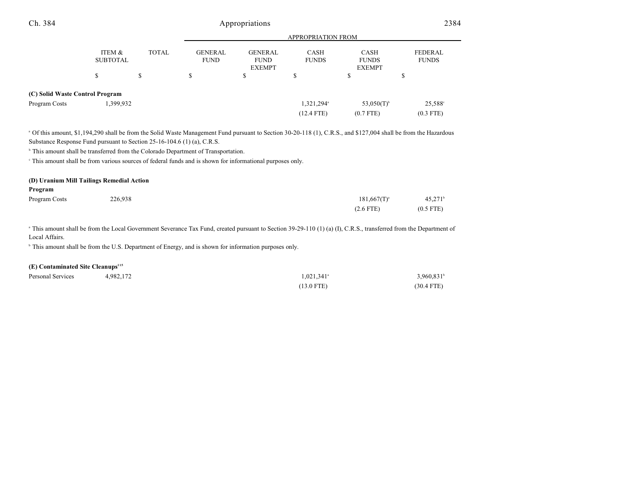| Ch. 384                         |                           |              | Appropriations                |                                                |                             | 2384                                  |                                |
|---------------------------------|---------------------------|--------------|-------------------------------|------------------------------------------------|-----------------------------|---------------------------------------|--------------------------------|
|                                 |                           |              | <b>APPROPRIATION FROM</b>     |                                                |                             |                                       |                                |
|                                 | ITEM &<br><b>SUBTOTAL</b> | <b>TOTAL</b> | <b>GENERAL</b><br><b>FUND</b> | <b>GENERAL</b><br><b>FUND</b><br><b>EXEMPT</b> | <b>CASH</b><br><b>FUNDS</b> | CASH<br><b>FUNDS</b><br><b>EXEMPT</b> | <b>FEDERAL</b><br><b>FUNDS</b> |
|                                 | S                         | S            | J.                            | \$                                             | ¢<br>ъ                      | \$                                    | ъ                              |
| (C) Solid Waste Control Program |                           |              |                               |                                                |                             |                                       |                                |
| Program Costs                   | 1,399,932                 |              |                               |                                                | 1,321,294 <sup>a</sup>      | $53,050(T)$ <sup>b</sup>              | $25,588^{\circ}$               |
|                                 |                           |              |                               |                                                | $(12.4$ FTE)                | $(0.7$ FTE)                           | $(0.3$ FTE)                    |

 Of this amount, \$1,194,290 shall be from the Solid Waste Management Fund pursuant to Section 30-20-118 (1), C.R.S., and \$127,004 shall be from the Hazardous <sup>a</sup> Substance Response Fund pursuant to Section 25-16-104.6 (1) (a), C.R.S.

<sup>b</sup> This amount shall be transferred from the Colorado Department of Transportation.

This amount shall be from various sources of federal funds and is shown for informational purposes only. <sup>c</sup>

## **(D) Uranium Mill Tailings Remedial Action Program** Program Costs 226,938 226,938 226,938 226,938 181,667(T) (2.6 FTE) (0.5 FTE)

<sup>a</sup> This amount shall be from the Local Government Severance Tax Fund, created pursuant to Section 39-29-110 (1) (a) (I), C.R.S., transferred from the Department of Local Affairs.

<sup>b</sup> This amount shall be from the U.S. Department of Energy, and is shown for information purposes only.

#### **(E) Contaminated Site Cleanups 115**

| Personal Services | +,982,172 | $1,021,341$ <sup>a</sup> | $3,960,831$ <sup>b</sup> |
|-------------------|-----------|--------------------------|--------------------------|
|                   |           | $(13.0$ FTE)             | $(30.4$ FTE)             |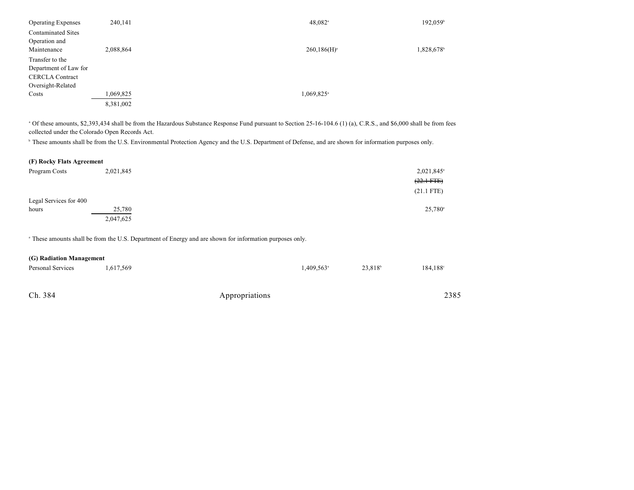| <b>Operating Expenses</b> | 240,141   | $48,082$ <sup>a</sup>  | $192,059$ <sup>b</sup> |
|---------------------------|-----------|------------------------|------------------------|
| <b>Contaminated Sites</b> |           |                        |                        |
| Operation and             |           |                        |                        |
| Maintenance               | 2,088,864 | $260,186(H)^a$         | 1,828,678              |
| Transfer to the           |           |                        |                        |
| Department of Law for     |           |                        |                        |
| <b>CERCLA Contract</b>    |           |                        |                        |
| Oversight-Related         |           |                        |                        |
| Costs                     | 1,069,825 | 1,069,825 <sup>a</sup> |                        |
|                           | 8,381,002 |                        |                        |

<sup>a</sup> Of these amounts, \$2,393,434 shall be from the Hazardous Substance Response Fund pursuant to Section 25-16-104.6 (1) (a), C.R.S., and \$6,000 shall be from fees collected under the Colorado Open Records Act.

<sup>b</sup> These amounts shall be from the U.S. Environmental Protection Agency and the U.S. Department of Defense, and are shown for information purposes only.

| (F) Rocky Flats Agreement |  |
|---------------------------|--|
|---------------------------|--|

| Program Costs          | 2,021,845 | 2,021,845 <sup>a</sup> |
|------------------------|-----------|------------------------|
|                        |           | $(22.1 \text{ FFE})$   |
|                        |           | $(21.1$ FTE)           |
| Legal Services for 400 |           |                        |
| hours                  | 25,780    | $25,780^{\circ}$       |
|                        | 2,047,625 |                        |

<sup>a</sup> These amounts shall be from the U.S. Department of Energy and are shown for information purposes only.

|  | (G) Radiation Management |
|--|--------------------------|
|--|--------------------------|

| Personal Services | 1,617,569 |                | $1,409,563$ <sup>a</sup> | 23,818 <sup>b</sup> | 184,188 <sup>c</sup> |  |
|-------------------|-----------|----------------|--------------------------|---------------------|----------------------|--|
|                   |           |                |                          |                     |                      |  |
| Ch. 384           |           | Appropriations |                          |                     | 2385                 |  |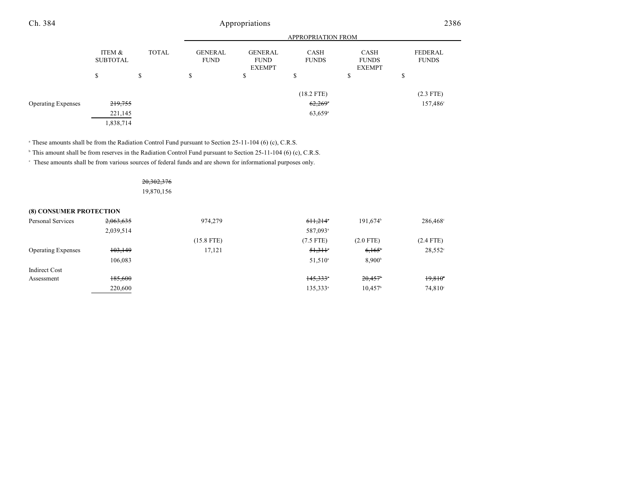| Ch. 384                   | Appropriations            |              |                               |                                                |                             | 2386                                  |                                |
|---------------------------|---------------------------|--------------|-------------------------------|------------------------------------------------|-----------------------------|---------------------------------------|--------------------------------|
|                           |                           |              |                               |                                                | APPROPRIATION FROM          |                                       |                                |
|                           | ITEM &<br><b>SUBTOTAL</b> | <b>TOTAL</b> | <b>GENERAL</b><br><b>FUND</b> | <b>GENERAL</b><br><b>FUND</b><br><b>EXEMPT</b> | <b>CASH</b><br><b>FUNDS</b> | CASH<br><b>FUNDS</b><br><b>EXEMPT</b> | <b>FEDERAL</b><br><b>FUNDS</b> |
|                           | \$                        | S            | \$                            | \$                                             | \$                          | \$                                    | S                              |
|                           |                           |              |                               |                                                | $(18.2$ FTE)                |                                       | $(2.3$ FTE)                    |
| <b>Operating Expenses</b> | 219,755                   |              |                               |                                                | $62,269$ <sup>*</sup>       |                                       | 157,486°                       |
|                           | 221,145                   |              |                               |                                                | $63,659$ <sup>a</sup>       |                                       |                                |
|                           | 1,838,714                 |              |                               |                                                |                             |                                       |                                |

<sup>a</sup> These amounts shall be from the Radiation Control Fund pursuant to Section 25-11-104 (6) (c), C.R.S.

<sup>b</sup> This amount shall be from reserves in the Radiation Control Fund pursuant to Section 25-11-104 (6) (c), C.R.S.

These amounts shall be from various sources of federal funds and are shown for informational purposes only. <sup>c</sup>

### 20,302,376

19,870,156

#### **(8) CONSUMER PROTECTION**

| Personal Services         | 2,063,635 | 974,279      | 611.214              | 191.674 <sup>b</sup>  | 286,468 <sup>c</sup> |
|---------------------------|-----------|--------------|----------------------|-----------------------|----------------------|
|                           | 2,039,514 |              | 587,093 <sup>a</sup> |                       |                      |
|                           |           | $(15.8$ FTE) | $(7.5$ FTE)          | $(2.0$ FTE)           | $(2.4$ FTE)          |
| <b>Operating Expenses</b> | 103,149   | 17,121       | 51.311               | $6,165^{\circ}$       | $28,552^{\circ}$     |
|                           | 106.083   |              | $51.510^{\circ}$     | 8.900 <sup>b</sup>    |                      |
| Indirect Cost             |           |              |                      |                       |                      |
| Assessment                | 185,600   |              | 145,333              | 20,457                | 19,810               |
|                           | 220,600   |              | 135.333 <sup>a</sup> | $10,457$ <sup>b</sup> | $74,810^{\circ}$     |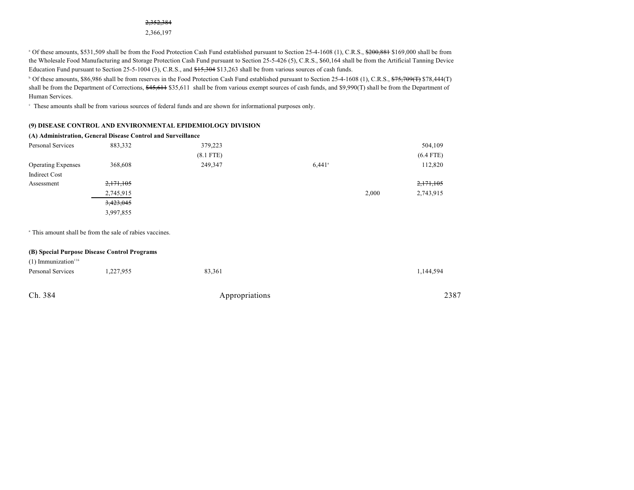#### 2,352,384

2,366,197

<sup>a</sup> Of these amounts, \$531,509 shall be from the Food Protection Cash Fund established pursuant to Section 25-4-1608 (1), C.R.S., \$200,881 \$169,000 shall be from the Wholesale Food Manufacturing and Storage Protection Cash Fund pursuant to Section 25-5-426 (5), C.R.S., \$60,164 shall be from the Artificial Tanning Device Education Fund pursuant to Section 25-5-1004 (3), C.R.S., and \$15,304 \$13,263 shall be from various sources of cash funds.

<sup>b</sup> Of these amounts, \$86,986 shall be from reserves in the Food Protection Cash Fund established pursuant to Section 25-4-1608 (1), C.R.S., \$75,709(T) \$78,444(T) shall be from the Department of Corrections, \$45,611 shall be from various exempt sources of cash funds, and \$9,990(T) shall be from the Department of Human Services.

These amounts shall be from various sources of federal funds and are shown for informational purposes only. <sup>c</sup>

#### **(9) DISEASE CONTROL AND ENVIRONMENTAL EPIDEMIOLOGY DIVISION**

|                           | (A) Administration, General Disease Control and Surveillance |             |                      |                    |
|---------------------------|--------------------------------------------------------------|-------------|----------------------|--------------------|
| Personal Services         | 883,332                                                      | 379,223     |                      | 504,109            |
|                           |                                                              | $(8.1$ FTE) |                      | $(6.4$ FTE)        |
| <b>Operating Expenses</b> | 368,608                                                      | 249,347     | $6.441$ <sup>a</sup> | 112,820            |
| Indirect Cost             |                                                              |             |                      |                    |
| Assessment                | 2,171,105                                                    |             |                      | 2,171,105          |
|                           | 2,745,915                                                    |             |                      | 2,743,915<br>2,000 |
|                           | 3,423,045                                                    |             |                      |                    |
|                           | 3,997,855                                                    |             |                      |                    |
|                           |                                                              |             |                      |                    |

<sup>a</sup> This amount shall be from the sale of rabies vaccines.

|                                   | (B) Special Purpose Disease Control Programs |                |           |
|-----------------------------------|----------------------------------------------|----------------|-----------|
| $(1)$ Immunization <sup>116</sup> |                                              |                |           |
| Personal Services                 | 1,227,955                                    | 83,361         | 1,144,594 |
| Ch. 384                           |                                              | Appropriations | 2387      |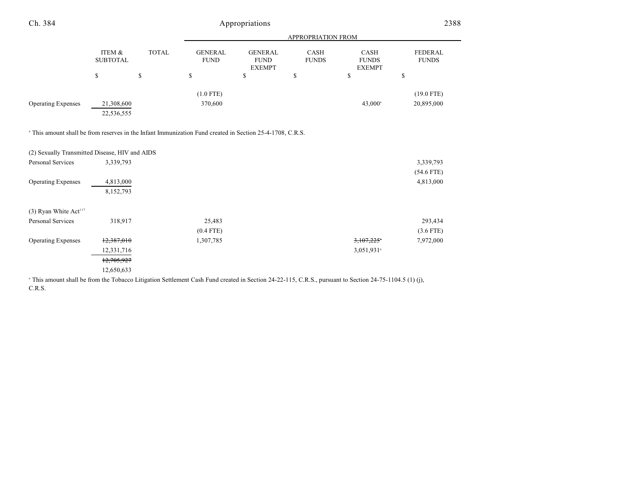| Ch. 384                                                                                                              |                           |              |                               | Appropriations                                  |                      |                                       | 2388                           |
|----------------------------------------------------------------------------------------------------------------------|---------------------------|--------------|-------------------------------|-------------------------------------------------|----------------------|---------------------------------------|--------------------------------|
|                                                                                                                      |                           |              |                               |                                                 | APPROPRIATION FROM   |                                       |                                |
|                                                                                                                      | ITEM &<br><b>SUBTOTAL</b> | <b>TOTAL</b> | <b>GENERAL</b><br><b>FUND</b> | <b>GENERAL</b><br>${\rm FUND}$<br><b>EXEMPT</b> | CASH<br><b>FUNDS</b> | CASH<br><b>FUNDS</b><br><b>EXEMPT</b> | <b>FEDERAL</b><br><b>FUNDS</b> |
|                                                                                                                      | \$                        | \$           | ${\mathbb S}$                 | \$                                              | \$                   | \$                                    | \$                             |
| <b>Operating Expenses</b>                                                                                            | 21,308,600<br>22,536,555  |              | $(1.0$ FTE)<br>370,600        |                                                 |                      | 43,000 <sup>a</sup>                   | $(19.0$ FTE)<br>20,895,000     |
| <sup>a</sup> This amount shall be from reserves in the Infant Immunization Fund created in Section 25-4-1708, C.R.S. |                           |              |                               |                                                 |                      |                                       |                                |
| (2) Sexually Transmitted Disease, HIV and AIDS                                                                       |                           |              |                               |                                                 |                      |                                       |                                |
| Personal Services                                                                                                    | 3,339,793                 |              |                               |                                                 |                      |                                       | 3,339,793                      |
| <b>Operating Expenses</b>                                                                                            | 4,813,000<br>8,152,793    |              |                               |                                                 |                      |                                       | $(54.6$ FTE)<br>4,813,000      |
| $(3)$ Ryan White Act <sup>117</sup>                                                                                  |                           |              |                               |                                                 |                      |                                       |                                |
| Personal Services                                                                                                    | 318,917                   |              | 25,483                        |                                                 |                      |                                       | 293,434                        |
|                                                                                                                      |                           |              | $(0.4$ FTE)                   |                                                 |                      |                                       | $(3.6$ FTE)                    |
| <b>Operating Expenses</b>                                                                                            | 12,387,010                |              | 1,307,785                     |                                                 |                      | 3,107,225                             | 7,972,000                      |
|                                                                                                                      | 12,331,716                |              |                               |                                                 |                      | 3,051,931 <sup>a</sup>                |                                |
|                                                                                                                      | 12,705,927                |              |                               |                                                 |                      |                                       |                                |
|                                                                                                                      | 12,650,633                |              |                               |                                                 |                      |                                       |                                |

<sup>a</sup> This amount shall be from the Tobacco Litigation Settlement Cash Fund created in Section 24-22-115, C.R.S., pursuant to Section 24-75-1104.5 (1) (j), C.R.S.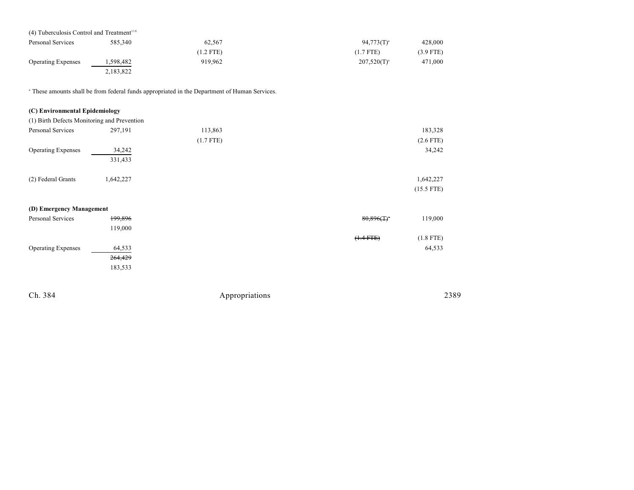| $(4)$ Tuberculosis Control and Treatment <sup>118</sup> |           |             |                  |             |
|---------------------------------------------------------|-----------|-------------|------------------|-------------|
| Personal Services                                       | 585,340   | 62.567      | $94,773(T)^{a}$  | 428,000     |
|                                                         |           | $(1.2$ FTE) | (1.7 FTE)        | $(3.9$ FTE) |
| <b>Operating Expenses</b>                               | 1,598,482 | 919.962     | $207,520(T)^{a}$ | 471,000     |
|                                                         | 2,183,822 |             |                  |             |

<sup>a</sup> These amounts shall be from federal funds appropriated in the Department of Human Services.

| (C) Environmental Epidemiology              |           |             |                           |              |
|---------------------------------------------|-----------|-------------|---------------------------|--------------|
| (1) Birth Defects Monitoring and Prevention |           |             |                           |              |
| Personal Services                           | 297,191   | 113,863     |                           | 183,328      |
|                                             |           | $(1.7$ FTE) |                           | $(2.6$ FTE)  |
| <b>Operating Expenses</b>                   | 34,242    |             |                           | 34,242       |
|                                             | 331,433   |             |                           |              |
|                                             |           |             |                           |              |
| (2) Federal Grants                          | 1,642,227 |             |                           | 1,642,227    |
|                                             |           |             |                           | $(15.5$ FTE) |
|                                             |           |             |                           |              |
| (D) Emergency Management                    |           |             |                           |              |
| Personal Services                           | 199,896   |             | $80,896($ T) <sup>*</sup> | 119,000      |
|                                             | 119,000   |             |                           |              |
|                                             |           |             | $(1.4 FTE)$               | $(1.8$ FTE)  |
| <b>Operating Expenses</b>                   | 64,533    |             |                           | 64,533       |
|                                             | 264,429   |             |                           |              |
|                                             | 183,533   |             |                           |              |
|                                             |           |             |                           |              |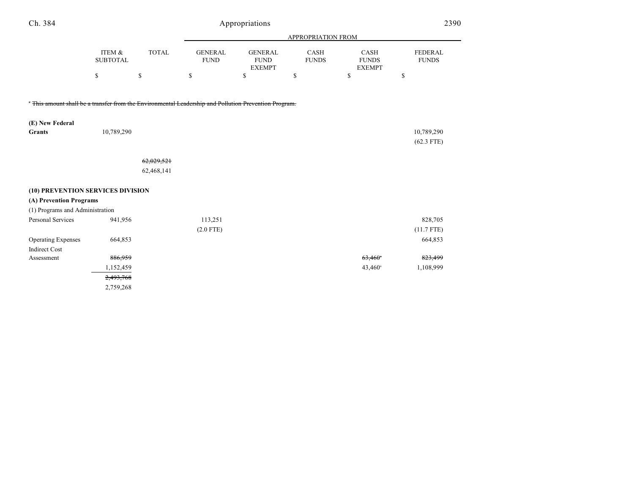| Ch. 384                                                                                               | Appropriations            |              |                               |                                                |                      |                                       | 2390                           |
|-------------------------------------------------------------------------------------------------------|---------------------------|--------------|-------------------------------|------------------------------------------------|----------------------|---------------------------------------|--------------------------------|
|                                                                                                       |                           |              |                               |                                                | APPROPRIATION FROM   |                                       |                                |
|                                                                                                       | ITEM &<br><b>SUBTOTAL</b> | <b>TOTAL</b> | <b>GENERAL</b><br><b>FUND</b> | <b>GENERAL</b><br><b>FUND</b><br><b>EXEMPT</b> | CASH<br><b>FUNDS</b> | CASH<br><b>FUNDS</b><br><b>EXEMPT</b> | <b>FEDERAL</b><br><b>FUNDS</b> |
|                                                                                                       | \$                        | \$           | \$                            | \$                                             | \$                   | \$                                    | \$                             |
| " This amount shall be a transfer from the Environmental Leadership and Pollution Prevention Program. |                           |              |                               |                                                |                      |                                       |                                |
| (E) New Federal<br>Grants                                                                             | 10,789,290                |              |                               |                                                |                      |                                       | 10,789,290                     |
|                                                                                                       |                           |              |                               |                                                |                      |                                       | $(62.3$ FTE)                   |
|                                                                                                       |                           | 62,029,521   |                               |                                                |                      |                                       |                                |
|                                                                                                       |                           | 62,468,141   |                               |                                                |                      |                                       |                                |
| (10) PREVENTION SERVICES DIVISION                                                                     |                           |              |                               |                                                |                      |                                       |                                |
| (A) Prevention Programs                                                                               |                           |              |                               |                                                |                      |                                       |                                |
| (1) Programs and Administration                                                                       |                           |              |                               |                                                |                      |                                       |                                |
| Personal Services                                                                                     | 941,956                   |              | 113,251                       |                                                |                      |                                       | 828,705                        |
|                                                                                                       |                           |              | $(2.0$ FTE)                   |                                                |                      |                                       | $(11.7$ FTE)                   |
| <b>Operating Expenses</b>                                                                             | 664,853                   |              |                               |                                                |                      |                                       | 664,853                        |
| <b>Indirect Cost</b>                                                                                  |                           |              |                               |                                                |                      |                                       |                                |
| Assessment                                                                                            | 886,959                   |              |                               |                                                |                      | $63,460$ <sup>*</sup>                 | 823,499                        |
|                                                                                                       | 1,152,459                 |              |                               |                                                |                      | $43,460^{\circ}$                      | 1,108,999                      |
|                                                                                                       | 2,493,768                 |              |                               |                                                |                      |                                       |                                |
|                                                                                                       | 2,759,268                 |              |                               |                                                |                      |                                       |                                |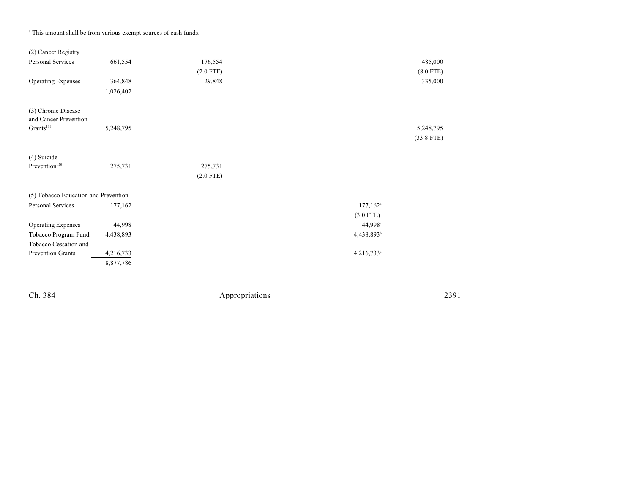| (2) Cancer Registry                          |           |             |                        |              |
|----------------------------------------------|-----------|-------------|------------------------|--------------|
| Personal Services                            | 661,554   | 176,554     |                        | 485,000      |
|                                              |           | $(2.0$ FTE) |                        | $(8.0$ FTE)  |
| <b>Operating Expenses</b>                    | 364,848   | 29,848      |                        | 335,000      |
|                                              | 1,026,402 |             |                        |              |
| (3) Chronic Disease<br>and Cancer Prevention |           |             |                        |              |
| Grants <sup>119</sup>                        | 5,248,795 |             |                        | 5,248,795    |
|                                              |           |             |                        | $(33.8$ FTE) |
| (4) Suicide                                  |           |             |                        |              |
| Prevention <sup>120</sup>                    | 275,731   | 275,731     |                        |              |
|                                              |           | $(2.0$ FTE) |                        |              |
| (5) Tobacco Education and Prevention         |           |             |                        |              |
| Personal Services                            | 177,162   |             | $177,162$ <sup>a</sup> |              |
|                                              |           |             | $(3.0$ FTE)            |              |
| <b>Operating Expenses</b>                    | 44,998    |             | 44,998 <sup>a</sup>    |              |
| Tobacco Program Fund                         | 4,438,893 |             | 4,438,893 <sup>b</sup> |              |
| Tobacco Cessation and                        |           |             |                        |              |
| Prevention Grants                            | 4,216,733 |             | 4,216,733 <sup>a</sup> |              |
|                                              | 8,877,786 |             |                        |              |
|                                              |           |             |                        |              |

<sup>a</sup> This amount shall be from various exempt sources of cash funds.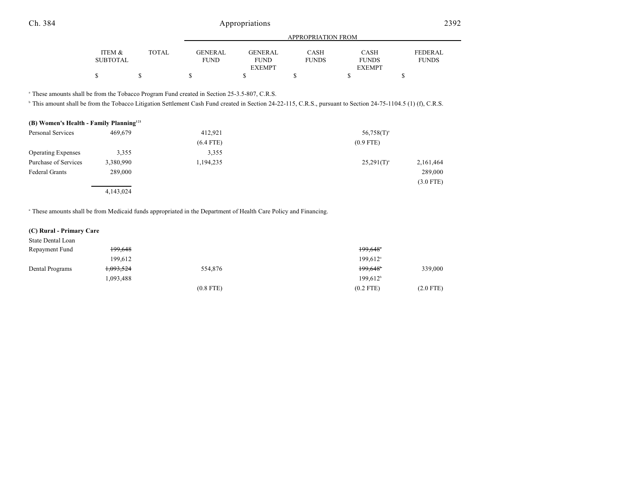|                 |              |                |                | APPROPRIATION FROM |               |              |
|-----------------|--------------|----------------|----------------|--------------------|---------------|--------------|
| ITEM &          | <b>TOTAL</b> | <b>GENERAL</b> | <b>GENERAL</b> | <b>CASH</b>        | <b>CASH</b>   | FEDERAL      |
| <b>SUBTOTAL</b> |              | <b>FUND</b>    | <b>FUND</b>    | <b>FUNDS</b>       | <b>FUNDS</b>  | <b>FUNDS</b> |
|                 |              |                | <b>EXEMPT</b>  |                    | <b>EXEMPT</b> |              |
|                 |              |                |                |                    |               |              |
|                 |              |                |                |                    |               |              |

<sup>a</sup> These amounts shall be from the Tobacco Program Fund created in Section 25-3.5-807, C.R.S.

<sup>b</sup> This amount shall be from the Tobacco Litigation Settlement Cash Fund created in Section 24-22-115, C.R.S., pursuant to Section 24-75-1104.5 (1) (f), C.R.S.

#### **(B) Women's Health - Family Planning 121**

| Personal Services         | 469,679   | 412,921     | $56,758(T)^{a}$ |             |
|---------------------------|-----------|-------------|-----------------|-------------|
|                           |           | $(6.4$ FTE) | $(0.9$ FTE)     |             |
| <b>Operating Expenses</b> | 3,355     | 3,355       |                 |             |
| Purchase of Services      | 3,380,990 | 1,194,235   | $25,291(T)^{a}$ | 2,161,464   |
| <b>Federal Grants</b>     | 289,000   |             |                 | 289,000     |
|                           |           |             |                 | $(3.0$ FTE) |
|                           | 4,143,024 |             |                 |             |

These amounts shall be from Medicaid funds appropriated in the Department of Health Care Policy and Financing. <sup>a</sup>

#### **(C) Rural - Primary Care**

| State Dental Loan |                      |             |                        |             |
|-------------------|----------------------|-------------|------------------------|-------------|
| Repayment Fund    | 199,648              |             | 199,648°               |             |
|                   | 199.612              |             | $199.612$ <sup>a</sup> |             |
| Dental Programs   | <del>1,093,524</del> | 554,876     | 199,648                | 339,000     |
|                   | 1,093,488            |             | 199.612 <sup>b</sup>   |             |
|                   |                      | $(0.8$ FTE) | $(0.2$ FTE)            | $(2.0$ FTE) |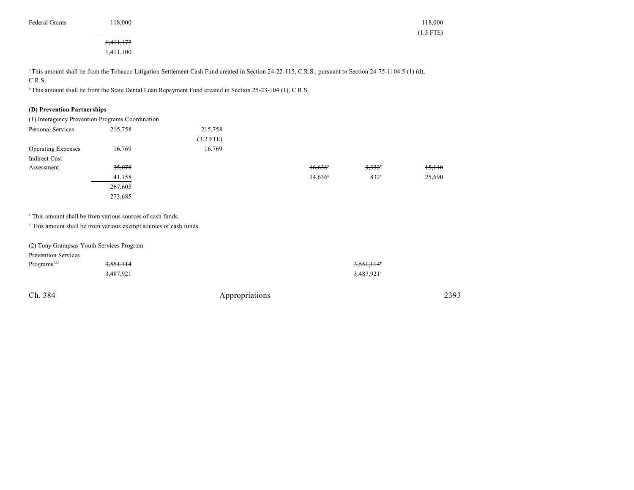| <b>Federal Grants</b> | 18,000<br>. | 18,000 |
|-----------------------|-------------|--------|
|-----------------------|-------------|--------|

# 1,411,172

1,411,100

<sup>a</sup> This amount shall be from the Tobacco Litigation Settlement Cash Fund created in Section 24-22-115, C.R.S., pursuant to Section 24-75-1104.5 (1) (d), C.R.S.

<sup>h</sup> This amount shall be from the State Dental Loan Repayment Fund created in Section 25-23-104 (1), C.R.S.

#### **(D) Prevention Partnerships**

| (1) Interagency Prevention Programs Coordination |         |             |                       |                  |        |
|--------------------------------------------------|---------|-------------|-----------------------|------------------|--------|
| Personal Services                                | 215,758 | 215,758     |                       |                  |        |
|                                                  |         | $(3.2$ FTE) |                       |                  |        |
| <b>Operating Expenses</b>                        | 16,769  | 16,769      |                       |                  |        |
| Indirect Cost                                    |         |             |                       |                  |        |
| Assessment                                       | 35,078  |             | $16,636$ <sup>*</sup> | $3.332^{\circ}$  | 15,110 |
|                                                  | 41,158  |             | $14,636^{\circ}$      | 832 <sup>b</sup> | 25,690 |
|                                                  | 267,605 |             |                       |                  |        |
|                                                  | 273,685 |             |                       |                  |        |

<sup>a</sup> This amount shall be from various sources of cash funds.

 $\degree$  This amount shall be from various exempt sources of cash funds.

| (2) Tony Grampsas Youth Services Program |                      |                        |
|------------------------------------------|----------------------|------------------------|
| <b>Prevention Services</b>               |                      |                        |
| Programs <sup>122</sup>                  | <del>3,551,114</del> | 3,551,114°             |
|                                          | 3.487.921            | 3,487,921 <sup>a</sup> |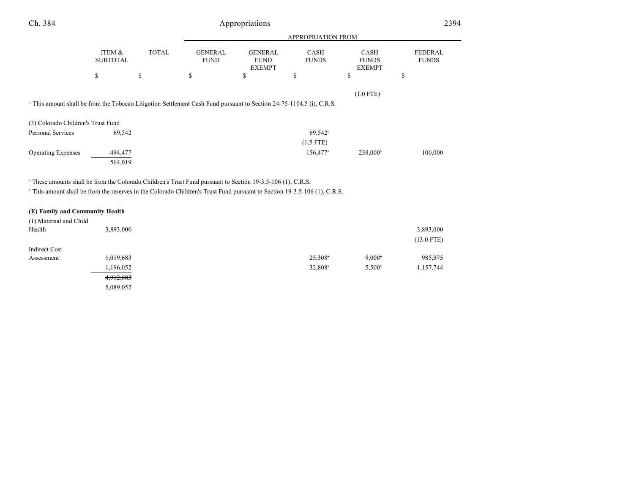| Ch. 384                                                                                                                              |                           | Appropriations |                               |                                                | 2394                        |                                       |                                |
|--------------------------------------------------------------------------------------------------------------------------------------|---------------------------|----------------|-------------------------------|------------------------------------------------|-----------------------------|---------------------------------------|--------------------------------|
|                                                                                                                                      |                           |                |                               |                                                | APPROPRIATION FROM          |                                       |                                |
|                                                                                                                                      | ITEM &<br><b>SUBTOTAL</b> | <b>TOTAL</b>   | <b>GENERAL</b><br><b>FUND</b> | <b>GENERAL</b><br><b>FUND</b><br><b>EXEMPT</b> | <b>CASH</b><br><b>FUNDS</b> | CASH<br><b>FUNDS</b><br><b>EXEMPT</b> | <b>FEDERAL</b><br><b>FUNDS</b> |
|                                                                                                                                      | \$                        | \$             | \$                            | \$                                             | \$                          | \$                                    | \$                             |
|                                                                                                                                      |                           |                |                               |                                                |                             | $(1.0$ FTE)                           |                                |
| <sup>a</sup> This amount shall be from the Tobacco Litigation Settlement Cash Fund pursuant to Section 24-75-1104.5 (i), C.R.S.      |                           |                |                               |                                                |                             |                                       |                                |
|                                                                                                                                      |                           |                |                               |                                                |                             |                                       |                                |
| (3) Colorado Children's Trust Fund                                                                                                   |                           |                |                               |                                                |                             |                                       |                                |
| Personal Services                                                                                                                    | 69,542                    |                |                               |                                                | $69,542$ <sup>a</sup>       |                                       |                                |
|                                                                                                                                      |                           |                |                               |                                                | $(1.5$ FTE)                 |                                       |                                |
| <b>Operating Expenses</b>                                                                                                            | 494,477                   |                |                               |                                                | $156,477$ <sup>a</sup>      | $238,000^{\circ}$                     | 100,000                        |
|                                                                                                                                      | 564,019                   |                |                               |                                                |                             |                                       |                                |
| <sup>a</sup> These amounts shall be from the Colorado Children's Trust Fund pursuant to Section 19-3.5-106 (1), C.R.S.               |                           |                |                               |                                                |                             |                                       |                                |
| <sup>b</sup> This amount shall be from the reserves in the Colorado Children's Trust Fund pursuant to Section 19-3.5-106 (1), C.R.S. |                           |                |                               |                                                |                             |                                       |                                |
|                                                                                                                                      |                           |                |                               |                                                |                             |                                       |                                |
| (E) Family and Community Health                                                                                                      |                           |                |                               |                                                |                             |                                       |                                |
| (1) Maternal and Child                                                                                                               |                           |                |                               |                                                |                             |                                       |                                |

| $\sim$<br>Health | 3,893,000 |                       |                 | 3,893,000<br>$(13.0$ FTE) |
|------------------|-----------|-----------------------|-----------------|---------------------------|
| Indirect Cost    |           |                       |                 |                           |
| Assessment       | 1,019,683 | $25,308$ <sup>*</sup> | $9,000^{\circ}$ | 985, 375                  |
|                  | 1,196,052 | 32,808 <sup>a</sup>   | $5.500^{\circ}$ | 1,157,744                 |
|                  | 4,912,683 |                       |                 |                           |
|                  | 5,089,052 |                       |                 |                           |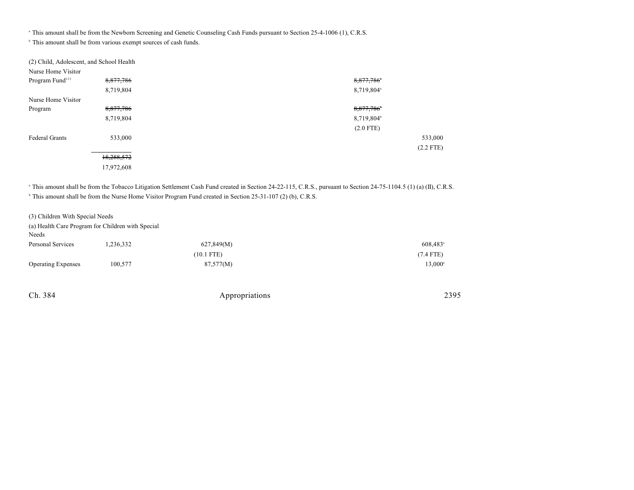<sup>a</sup> This amount shall be from the Newborn Screening and Genetic Counseling Cash Funds pursuant to Section 25-4-1006 (1), C.R.S.

 $\,^{\circ}$  This amount shall be from various exempt sources of cash funds.

| (2) Child, Adolescent, and School Health |            |                        |
|------------------------------------------|------------|------------------------|
| Nurse Home Visitor                       |            |                        |
| Program Fund <sup>123</sup>              | 8,877,786  | 8,877,786              |
|                                          | 8,719,804  | 8,719,804 <sup>a</sup> |
| Nurse Home Visitor                       |            |                        |
| Program                                  | 8,877,786  | 8,877,786              |
|                                          | 8,719,804  | 8,719,804 <sup>b</sup> |
|                                          |            | $(2.0$ FTE)            |
| <b>Federal Grants</b>                    | 533,000    | 533,000                |
|                                          |            | $(2.2$ FTE)            |
|                                          | 18,288,572 |                        |
|                                          | 17,972,608 |                        |

<sup>a</sup> This amount shall be from the Tobacco Litigation Settlement Cash Fund created in Section 24-22-115, C.R.S., pursuant to Section 24-75-1104.5 (1) (a) (II), C.R.S.

This amount shall be from the Nurse Home Visitor Program Fund created in Section 25-31-107 (2) (b), C.R.S.

(3) Children With Special Needs

(a) Health Care Program for Children with Special

| Needs                     |          |              |                        |
|---------------------------|----------|--------------|------------------------|
| Personal Services         | .236,332 | 627,849(M)   | $608,483$ <sup>a</sup> |
|                           |          | $(10.1$ FTE) | $(7.4$ FTE)            |
| <b>Operating Expenses</b> | 100,577  | 87,577(M)    | 13,000 <sup>a</sup>    |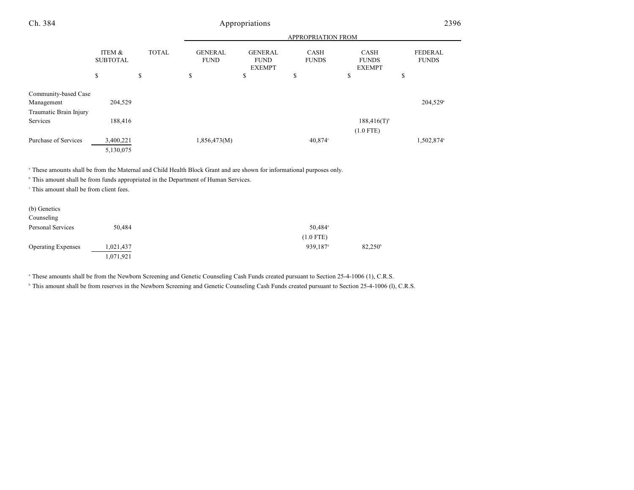| Ch. 384                            |                           |              |                               | Appropriations                                 |                             |                                          |                         | 2396 |
|------------------------------------|---------------------------|--------------|-------------------------------|------------------------------------------------|-----------------------------|------------------------------------------|-------------------------|------|
|                                    |                           |              |                               |                                                | APPROPRIATION FROM          |                                          |                         |      |
|                                    | ITEM &<br><b>SUBTOTAL</b> | <b>TOTAL</b> | <b>GENERAL</b><br><b>FUND</b> | <b>GENERAL</b><br><b>FUND</b><br><b>EXEMPT</b> | <b>CASH</b><br><b>FUNDS</b> | CASH<br><b>FUNDS</b><br><b>EXEMPT</b>    | FEDERAL<br><b>FUNDS</b> |      |
|                                    | \$                        | \$           | \$                            | \$                                             | \$                          | \$                                       | \$                      |      |
| Community-based Case<br>Management | 204,529                   |              |                               |                                                |                             |                                          | 204,529 <sup>a</sup>    |      |
| Traumatic Brain Injury             |                           |              |                               |                                                |                             |                                          |                         |      |
| Services                           | 188,416                   |              |                               |                                                |                             | $188,416(T)$ <sup>b</sup><br>$(1.0$ FTE) |                         |      |
| Purchase of Services               | 3,400,221<br>5,130,075    |              | 1,856,473(M)                  |                                                | 40.874°                     |                                          | 1,502,874 <sup>a</sup>  |      |
|                                    |                           |              |                               |                                                |                             |                                          |                         |      |

<sup>a</sup> These amounts shall be from the Maternal and Child Health Block Grant and are shown for informational purposes only.

 $^{\circ}$  This amount shall be from funds appropriated in the Department of Human Services.

 $\cdot$  This amount shall be from client fees.

| (b) Genetics<br>Counseling |           |                      |                  |
|----------------------------|-----------|----------------------|------------------|
| Personal Services          | 50,484    | 50,484 <sup>a</sup>  |                  |
|                            |           | $(1.0$ FTE)          |                  |
| <b>Operating Expenses</b>  | 1,021,437 | 939,187 <sup>a</sup> | $82,250^{\circ}$ |
|                            | 1,071,921 |                      |                  |

<sup>a</sup> These amounts shall be from the Newborn Screening and Genetic Counseling Cash Funds created pursuant to Section 25-4-1006 (1), C.R.S.

<sup>b</sup> This amount shall be from reserves in the Newborn Screening and Genetic Counseling Cash Funds created pursuant to Section 25-4-1006 (l), C.R.S.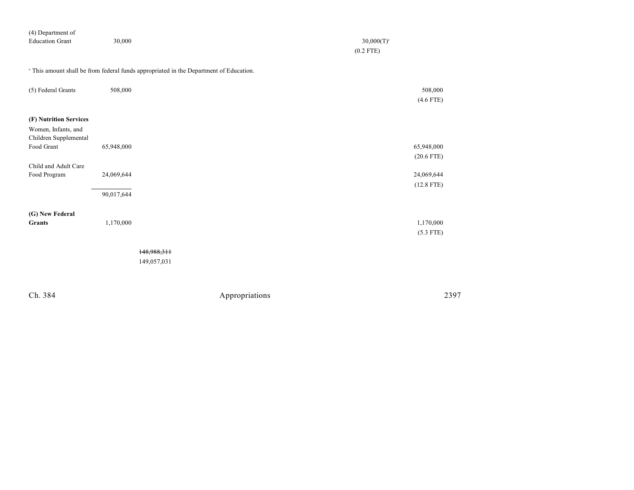| (4) Department of      |        |                 |
|------------------------|--------|-----------------|
| <b>Education Grant</b> | 30,000 | $30,000(T)^{a}$ |
|                        |        | $(0.2$ FTE)     |
|                        |        |                 |

<sup>a</sup> This amount shall be from federal funds appropriated in the Department of Education.

| (5) Federal Grants                                                                   | 508,000                  |                            | 508,000<br>$(4.6$ FTE)     |
|--------------------------------------------------------------------------------------|--------------------------|----------------------------|----------------------------|
| (F) Nutrition Services<br>Women, Infants, and<br>Children Supplemental<br>Food Grant | 65,948,000               |                            | 65,948,000<br>$(20.6$ FTE) |
| Child and Adult Care<br>Food Program                                                 | 24,069,644<br>90,017,644 |                            | 24,069,644<br>$(12.8$ FTE) |
| (G) New Federal<br><b>Grants</b>                                                     | 1,170,000                |                            | 1,170,000<br>$(5.3$ FTE)   |
|                                                                                      |                          | 148,988,311<br>149,057,031 |                            |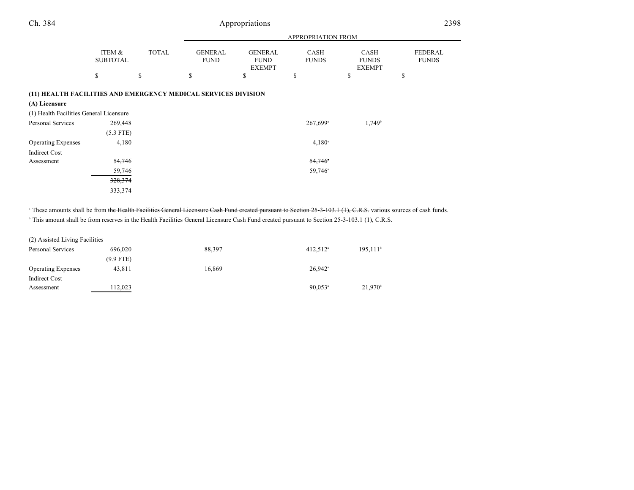| Ch. 384                                                                         |                           | Appropriations |                               |                                                |                             |                                       | 2398                           |  |
|---------------------------------------------------------------------------------|---------------------------|----------------|-------------------------------|------------------------------------------------|-----------------------------|---------------------------------------|--------------------------------|--|
|                                                                                 |                           |                |                               | APPROPRIATION FROM                             |                             |                                       |                                |  |
|                                                                                 | ITEM &<br><b>SUBTOTAL</b> | <b>TOTAL</b>   | <b>GENERAL</b><br><b>FUND</b> | <b>GENERAL</b><br><b>FUND</b><br><b>EXEMPT</b> | <b>CASH</b><br><b>FUNDS</b> | CASH<br><b>FUNDS</b><br><b>EXEMPT</b> | <b>FEDERAL</b><br><b>FUNDS</b> |  |
|                                                                                 | \$                        | \$             | \$                            | \$                                             | \$                          | \$                                    | \$                             |  |
| (11) HEALTH FACILITIES AND EMERGENCY MEDICAL SERVICES DIVISION<br>(A) Licensure |                           |                |                               |                                                |                             |                                       |                                |  |
| (1) Health Facilities General Licensure                                         |                           |                |                               |                                                |                             |                                       |                                |  |
| Personal Services                                                               | 269,448<br>$(5.3$ FTE)    |                |                               |                                                | $267,699$ <sup>a</sup>      | $1,749^b$                             |                                |  |
| <b>Operating Expenses</b>                                                       | 4,180                     |                |                               |                                                | $4,180^{\circ}$             |                                       |                                |  |
| <b>Indirect Cost</b>                                                            |                           |                |                               |                                                |                             |                                       |                                |  |
| Assessment                                                                      | 54,746                    |                |                               |                                                | 54,746                      |                                       |                                |  |
|                                                                                 | 59,746                    |                |                               |                                                | 59,746 <sup>a</sup>         |                                       |                                |  |
|                                                                                 | 328,374                   |                |                               |                                                |                             |                                       |                                |  |
|                                                                                 | 333,374                   |                |                               |                                                |                             |                                       |                                |  |

<sup>a</sup> These amounts shall be from the Health Facilities General Licensure Cash Fund created pursuant to Section 25-3-103.1 (1), C.R.S. various sources of cash funds.

<sup>b</sup> This amount shall be from reserves in the Health Facilities General Licensure Cash Fund created pursuant to Section 25-3-103.1 (1), C.R.S.

| (2) Assisted Living Facilities |             |        |                        |                        |
|--------------------------------|-------------|--------|------------------------|------------------------|
| Personal Services              | 696,020     | 88.397 | $412.512$ <sup>a</sup> | $195,111$ <sup>t</sup> |
|                                | $(9.9$ FTE) |        |                        |                        |
| <b>Operating Expenses</b>      | 43.811      | 16.869 | $26.942$ <sup>a</sup>  |                        |
| Indirect Cost                  |             |        |                        |                        |
| Assessment                     | 112.023     |        | $90.053$ <sup>a</sup>  | $21.970^{\circ}$       |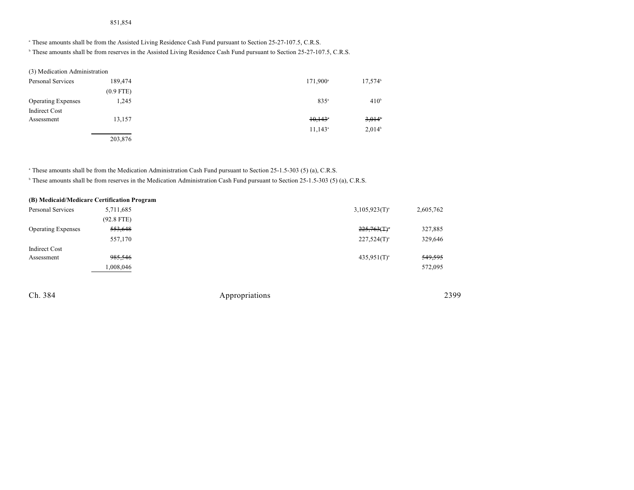## 851,854

<sup>a</sup> These amounts shall be from the Assisted Living Residence Cash Fund pursuant to Section 25-27-107.5, C.R.S.

<sup>b</sup> These amounts shall be from reserves in the Assisted Living Residence Cash Fund pursuant to Section 25-27-107.5, C.R.S.

| (3) Medication Administration |             |                      |                    |
|-------------------------------|-------------|----------------------|--------------------|
| Personal Services             | 189,474     | 171,900 <sup>a</sup> | $17,574^b$         |
|                               | $(0.9$ FTE) |                      |                    |
| <b>Operating Expenses</b>     | 1.245       | $835^{\circ}$        | 410 <sup>b</sup>   |
| Indirect Cost                 |             |                      |                    |
| Assessment                    | 13,157      | 10,143               | 3.014              |
|                               |             | $11.143^{\circ}$     | 2,014 <sup>b</sup> |
|                               | 203,876     |                      |                    |

<sup>a</sup> These amounts shall be from the Medication Administration Cash Fund pursuant to Section 25-1.5-303 (5) (a), C.R.S.

<sup>b</sup> These amounts shall be from reserves in the Medication Administration Cash Fund pursuant to Section 25-1.5-303 (5) (a), C.R.S.

|                           | (B) Medicaid/Medicare Certification Program |                            |                    |
|---------------------------|---------------------------------------------|----------------------------|--------------------|
| Personal Services         | 5,711,685                                   | $3,105,923(T)^{a}$         | 2,605,762          |
|                           | $(92.8$ FTE)                                |                            |                    |
| <b>Operating Expenses</b> | 553,648                                     | $225,763($ T) <sup>*</sup> | 327,885            |
|                           | 557,170                                     | $227,524(T)^{a}$           | 329,646            |
| Indirect Cost             |                                             |                            |                    |
| Assessment                | 985,546                                     | $435.951(T)^{a}$           | <del>549,595</del> |
|                           | 1,008,046                                   |                            | 572,095            |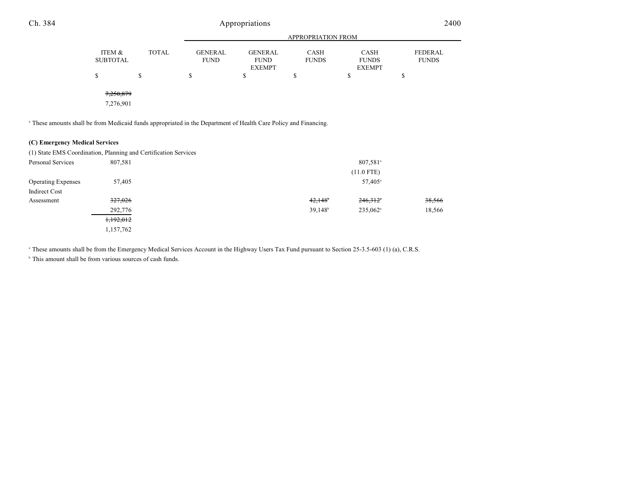| Ch. 384 |                           |              |                               | Appropriations                                 |                           |                                       | 2400                    |  |
|---------|---------------------------|--------------|-------------------------------|------------------------------------------------|---------------------------|---------------------------------------|-------------------------|--|
|         |                           |              |                               |                                                | <b>APPROPRIATION FROM</b> |                                       |                         |  |
|         | ITEM &<br><b>SUBTOTAL</b> | <b>TOTAL</b> | <b>GENERAL</b><br><b>FUND</b> | <b>GENERAL</b><br><b>FUND</b><br><b>EXEMPT</b> | CASH<br><b>FUNDS</b>      | CASH<br><b>FUNDS</b><br><b>EXEMPT</b> | FEDERAL<br><b>FUNDS</b> |  |
|         | ¢<br>ъ                    | Φ<br>D       | \$                            | c<br>Φ                                         | \$                        | \$                                    | ¢<br>Φ                  |  |
|         | 7,250,879<br>7,276,901    |              |                               |                                                |                           |                                       |                         |  |

These amounts shall be from Medicaid funds appropriated in the Department of Health Care Policy and Financing. <sup>a</sup>

### **(C) Emergency Medical Services**

|                           | (1) State EMS Coordination, Planning and Certification Services |                     |                        |        |
|---------------------------|-----------------------------------------------------------------|---------------------|------------------------|--------|
| Personal Services         | 807,581                                                         |                     | 807,581 <sup>a</sup>   |        |
|                           |                                                                 |                     | $(11.0$ FTE)           |        |
| <b>Operating Expenses</b> | 57,405                                                          |                     | 57,405 <sup>a</sup>    |        |
| Indirect Cost             |                                                                 |                     |                        |        |
| Assessment                | 327,026                                                         | 42,148              | 246,312                | 38,566 |
|                           | 292,776                                                         | 39,148 <sup>b</sup> | $235.062$ <sup>a</sup> | 18,566 |
|                           | 1,192,012                                                       |                     |                        |        |
|                           | 1,157,762                                                       |                     |                        |        |

<sup>a</sup> These amounts shall be from the Emergency Medical Services Account in the Highway Users Tax Fund pursuant to Section 25-3.5-603 (1) (a), C.R.S.

 $\,^{\circ}$  This amount shall be from various sources of cash funds.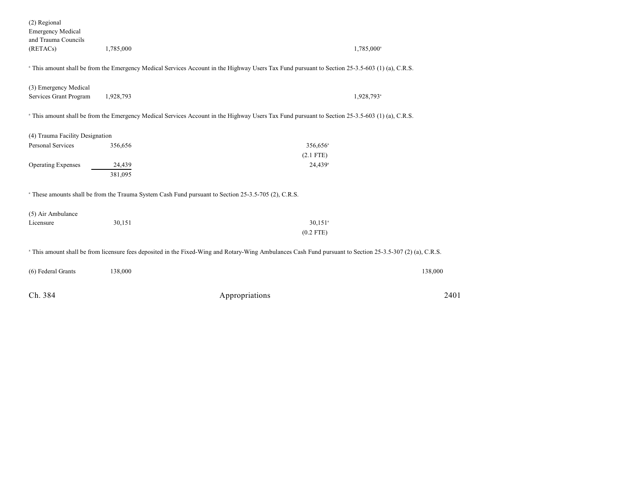| Ch. 384                                                                     |           | Appropriations<br>2401                                                                                                                                                |
|-----------------------------------------------------------------------------|-----------|-----------------------------------------------------------------------------------------------------------------------------------------------------------------------|
| (6) Federal Grants                                                          | 138,000   | 138,000                                                                                                                                                               |
|                                                                             |           | <sup>a</sup> This amount shall be from licensure fees deposited in the Fixed-Wing and Rotary-Wing Ambulances Cash Fund pursuant to Section 25-3.5-307 (2) (a), C.R.S. |
|                                                                             |           | $(0.2$ FTE)                                                                                                                                                           |
| (5) Air Ambulance<br>Licensure                                              | 30,151    | $30,151$ <sup>a</sup>                                                                                                                                                 |
|                                                                             |           | <sup>a</sup> These amounts shall be from the Trauma System Cash Fund pursuant to Section 25-3.5-705 (2), C.R.S.                                                       |
|                                                                             | 381,095   |                                                                                                                                                                       |
| <b>Operating Expenses</b>                                                   | 24,439    | $(2.1$ FTE)<br>24,439 <sup>a</sup>                                                                                                                                    |
| <b>Personal Services</b>                                                    | 356,656   | 356,656 <sup>a</sup>                                                                                                                                                  |
| (4) Trauma Facility Designation                                             |           |                                                                                                                                                                       |
|                                                                             |           | <sup>a</sup> This amount shall be from the Emergency Medical Services Account in the Highway Users Tax Fund pursuant to Section 25-3.5-603 (1) (a), C.R.S.            |
| (3) Emergency Medical<br>Services Grant Program                             | 1,928,793 | 1,928,793 <sup>a</sup>                                                                                                                                                |
|                                                                             |           | <sup>a</sup> This amount shall be from the Emergency Medical Services Account in the Highway Users Tax Fund pursuant to Section 25-3.5-603 (1) (a), C.R.S.            |
| (2) Regional<br><b>Emergency Medical</b><br>and Trauma Councils<br>(RETACs) | 1,785,000 | 1,785,000 <sup>a</sup>                                                                                                                                                |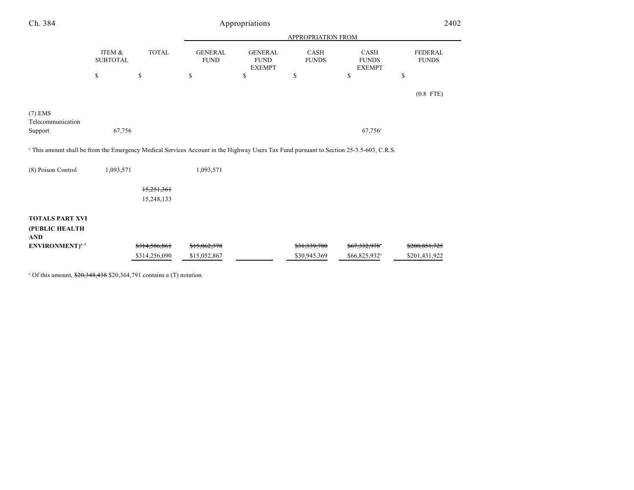| Ch. 384                                                                                                                                            | Appropriations            |                          |                               |                                                |                      | 2402                                         |                                |
|----------------------------------------------------------------------------------------------------------------------------------------------------|---------------------------|--------------------------|-------------------------------|------------------------------------------------|----------------------|----------------------------------------------|--------------------------------|
|                                                                                                                                                    |                           |                          |                               | <b>APPROPRIATION FROM</b>                      |                      |                                              |                                |
|                                                                                                                                                    | ITEM &<br><b>SUBTOTAL</b> | <b>TOTAL</b>             | <b>GENERAL</b><br><b>FUND</b> | <b>GENERAL</b><br><b>FUND</b><br><b>EXEMPT</b> | CASH<br><b>FUNDS</b> | <b>CASH</b><br><b>FUNDS</b><br><b>EXEMPT</b> | <b>FEDERAL</b><br><b>FUNDS</b> |
|                                                                                                                                                    | \$                        | \$                       | \$                            | \$                                             | \$                   | \$                                           | \$                             |
|                                                                                                                                                    |                           |                          |                               |                                                |                      |                                              | $(0.8$ FTE)                    |
| $(7)$ EMS<br>Telecommunication                                                                                                                     |                           |                          |                               |                                                |                      |                                              |                                |
| Support                                                                                                                                            | 67,756                    |                          |                               |                                                |                      | $67,756$ <sup>a</sup>                        |                                |
| <sup>a</sup> This amount shall be from the Emergency Medical Services Account in the Highway Users Tax Fund pursuant to Section 25-3.5-603, C.R.S. |                           |                          |                               |                                                |                      |                                              |                                |
| (8) Poison Control                                                                                                                                 | 1,093,571                 |                          | 1,093,571                     |                                                |                      |                                              |                                |
|                                                                                                                                                    |                           | 15,251,361               |                               |                                                |                      |                                              |                                |
|                                                                                                                                                    |                           | 15,248,133               |                               |                                                |                      |                                              |                                |
| <b>TOTALS PART XVI</b>                                                                                                                             |                           |                          |                               |                                                |                      |                                              |                                |
| (PUBLIC HEALTH<br><b>AND</b>                                                                                                                       |                           |                          |                               |                                                |                      |                                              |                                |
| ENVIRONMENT) <sup>4, 5</sup>                                                                                                                       |                           | <del>\$314,586,861</del> | <del>\$15,062,378</del>       |                                                | \$31,339,780         | <del>\$67,332,978</del> *                    | <del>\$200,851,725</del>       |
|                                                                                                                                                    |                           | \$314,256,090            | \$15,052,867                  |                                                | \$30,945,369         | \$66,825,932 <sup>a</sup>                    | \$201,431,922                  |

 $^{\circ}$  Of this amount,  $\frac{$20,348,438}{$20,364,791}$  contains a (T) notation.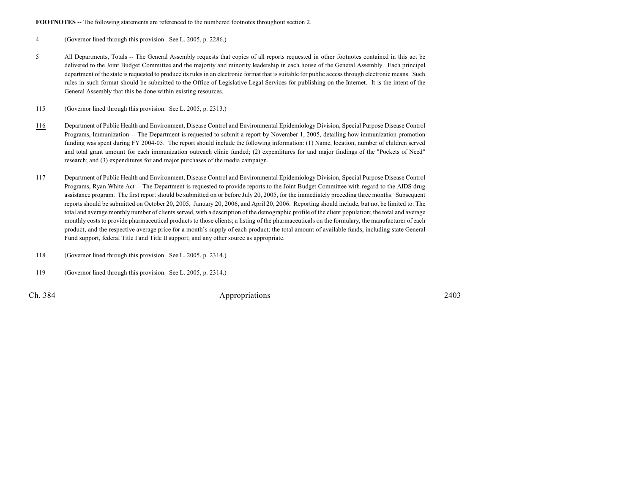**FOOTNOTES** -- The following statements are referenced to the numbered footnotes throughout section 2.

4 (Governor lined through this provision. See L. 2005, p. 2286.)

5 All Departments, Totals -- The General Assembly requests that copies of all reports requested in other footnotes contained in this act be delivered to the Joint Budget Committee and the majority and minority leadership in each house of the General Assembly. Each principal department of the state is requested to produce its rules in an electronic format that is suitable for public access through electronic means. Such rules in such format should be submitted to the Office of Legislative Legal Services for publishing on the Internet. It is the intent of the General Assembly that this be done within existing resources.

115 (Governor lined through this provision. See L. 2005, p. 2313.)

- 116 Department of Public Health and Environment, Disease Control and Environmental Epidemiology Division, Special Purpose Disease Control Programs, Immunization -- The Department is requested to submit a report by November 1, 2005, detailing how immunization promotion funding was spent during FY 2004-05. The report should include the following information: (1) Name, location, number of children served and total grant amount for each immunization outreach clinic funded; (2) expenditures for and major findings of the "Pockets of Need" research; and (3) expenditures for and major purchases of the media campaign.
- 117 Department of Public Health and Environment, Disease Control and Environmental Epidemiology Division, Special Purpose Disease Control Programs, Ryan White Act -- The Department is requested to provide reports to the Joint Budget Committee with regard to the AIDS drug assistance program. The first report should be submitted on or before July 20, 2005, for the immediately preceding three months. Subsequent reports should be submitted on October 20, 2005, January 20, 2006, and April 20, 2006. Reporting should include, but not be limited to: The total and average monthly number of clients served, with a description of the demographic profile of the client population; the total and average monthly costs to provide pharmaceutical products to those clients; a listing of the pharmaceuticals on the formulary, the manufacturer of each product, and the respective average price for a month's supply of each product; the total amount of available funds, including state General Fund support, federal Title I and Title II support; and any other source as appropriate.
- 118 (Governor lined through this provision. See L. 2005, p. 2314.)
- 119 (Governor lined through this provision. See L. 2005, p. 2314.)